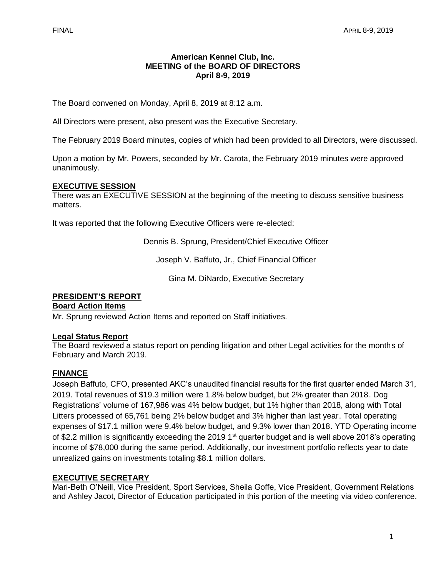### **American Kennel Club, Inc. MEETING of the BOARD OF DIRECTORS April 8-9, 2019**

The Board convened on Monday, April 8, 2019 at 8:12 a.m.

All Directors were present, also present was the Executive Secretary.

The February 2019 Board minutes, copies of which had been provided to all Directors, were discussed.

Upon a motion by Mr. Powers, seconded by Mr. Carota, the February 2019 minutes were approved unanimously.

# **EXECUTIVE SESSION**

There was an EXECUTIVE SESSION at the beginning of the meeting to discuss sensitive business matters.

It was reported that the following Executive Officers were re-elected:

Dennis B. Sprung, President/Chief Executive Officer

Joseph V. Baffuto, Jr., Chief Financial Officer

Gina M. DiNardo, Executive Secretary

# **PRESIDENT'S REPORT**

#### **Board Action Items**

Mr. Sprung reviewed Action Items and reported on Staff initiatives.

### **Legal Status Report**

The Board reviewed a status report on pending litigation and other Legal activities for the months of February and March 2019.

### **FINANCE**

Joseph Baffuto, CFO, presented AKC's unaudited financial results for the first quarter ended March 31, 2019. Total revenues of \$19.3 million were 1.8% below budget, but 2% greater than 2018. Dog Registrations' volume of 167,986 was 4% below budget, but 1% higher than 2018, along with Total Litters processed of 65,761 being 2% below budget and 3% higher than last year. Total operating expenses of \$17.1 million were 9.4% below budget, and 9.3% lower than 2018. YTD Operating income of \$2.2 million is significantly exceeding the 2019 1<sup>st</sup> quarter budget and is well above 2018's operating income of \$78,000 during the same period. Additionally, our investment portfolio reflects year to date unrealized gains on investments totaling \$8.1 million dollars.

# **EXECUTIVE SECRETARY**

Mari-Beth O'Neill, Vice President, Sport Services, Sheila Goffe, Vice President, Government Relations and Ashley Jacot, Director of Education participated in this portion of the meeting via video conference.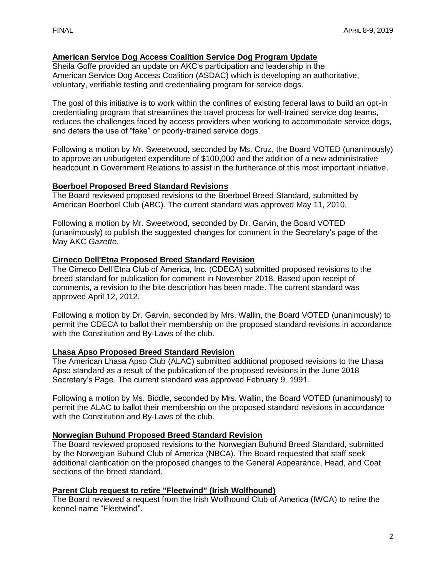# **American Service Dog Access Coalition Service Dog Program Update**

Sheila Goffe provided an update on AKC's participation and leadership in the American Service Dog Access Coalition (ASDAC) which is developing an authoritative, voluntary, verifiable testing and credentialing program for service dogs.

The goal of this initiative is to work within the confines of existing federal laws to build an opt-in credentialing program that streamlines the travel process for well-trained service dog teams, reduces the challenges faced by access providers when working to accommodate service dogs, and deters the use of "fake" or poorly-trained service dogs.

Following a motion by Mr. Sweetwood, seconded by Ms. Cruz, the Board VOTED (unanimously) to approve an unbudgeted expenditure of \$100,000 and the addition of a new administrative headcount in Government Relations to assist in the furtherance of this most important initiative.

#### **Boerboel Proposed Breed Standard Revisions**

The Board reviewed proposed revisions to the Boerboel Breed Standard, submitted by American Boerboel Club (ABC). The current standard was approved May 11, 2010.

Following a motion by Mr. Sweetwood, seconded by Dr. Garvin, the Board VOTED (unanimously) to publish the suggested changes for comment in the Secretary's page of the May AKC *Gazette*.

### **Cirneco Dell'Etna Proposed Breed Standard Revision**

The Cirneco Dell'Etna Club of America, Inc. (CDECA) submitted proposed revisions to the breed standard for publication for comment in November 2018. Based upon receipt of comments, a revision to the bite description has been made. The current standard was approved April 12, 2012.

Following a motion by Dr. Garvin, seconded by Mrs. Wallin, the Board VOTED (unanimously) to permit the CDECA to ballot their membership on the proposed standard revisions in accordance with the Constitution and By-Laws of the club.

### **Lhasa Apso Proposed Breed Standard Revision**

The American Lhasa Apso Club (ALAC) submitted additional proposed revisions to the Lhasa Apso standard as a result of the publication of the proposed revisions in the June 2018 Secretary's Page. The current standard was approved February 9, 1991.

Following a motion by Ms. Biddle, seconded by Mrs. Wallin, the Board VOTED (unanimously) to permit the ALAC to ballot their membership on the proposed standard revisions in accordance with the Constitution and By-Laws of the club.

### **Norwegian Buhund Proposed Breed Standard Revision**

The Board reviewed proposed revisions to the Norwegian Buhund Breed Standard, submitted by the Norwegian Buhund Club of America (NBCA). The Board requested that staff seek additional clarification on the proposed changes to the General Appearance, Head, and Coat sections of the breed standard.

### **Parent Club request to retire "Fleetwind" (Irish Wolfhound)**

The Board reviewed a request from the Irish Wolfhound Club of America (IWCA) to retire the kennel name "Fleetwind".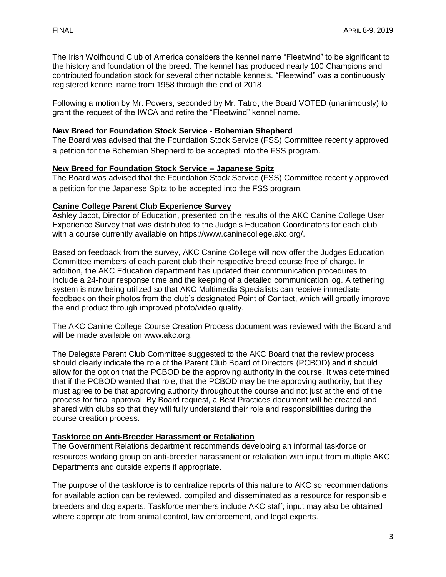The Irish Wolfhound Club of America considers the kennel name "Fleetwind" to be significant to the history and foundation of the breed. The kennel has produced nearly 100 Champions and contributed foundation stock for several other notable kennels. "Fleetwind" was a continuously registered kennel name from 1958 through the end of 2018.

Following a motion by Mr. Powers, seconded by Mr. Tatro, the Board VOTED (unanimously) to grant the request of the IWCA and retire the "Fleetwind" kennel name.

### **New Breed for Foundation Stock Service - Bohemian Shepherd**

The Board was advised that the Foundation Stock Service (FSS) Committee recently approved a petition for the Bohemian Shepherd to be accepted into the FSS program.

# **New Breed for Foundation Stock Service – Japanese Spitz**

The Board was advised that the Foundation Stock Service (FSS) Committee recently approved a petition for the Japanese Spitz to be accepted into the FSS program.

# **Canine College Parent Club Experience Survey**

Ashley Jacot, Director of Education, presented on the results of the AKC Canine College User Experience Survey that was distributed to the Judge's Education Coordinators for each club with a course currently available on https://www.caninecollege.akc.org/.

Based on feedback from the survey, AKC Canine College will now offer the Judges Education Committee members of each parent club their respective breed course free of charge. In addition, the AKC Education department has updated their communication procedures to include a 24-hour response time and the keeping of a detailed communication log. A tethering system is now being utilized so that AKC Multimedia Specialists can receive immediate feedback on their photos from the club's designated Point of Contact, which will greatly improve the end product through improved photo/video quality.

The AKC Canine College Course Creation Process document was reviewed with the Board and will be made available on www.akc.org.

The Delegate Parent Club Committee suggested to the AKC Board that the review process should clearly indicate the role of the Parent Club Board of Directors (PCBOD) and it should allow for the option that the PCBOD be the approving authority in the course. It was determined that if the PCBOD wanted that role, that the PCBOD may be the approving authority, but they must agree to be that approving authority throughout the course and not just at the end of the process for final approval. By Board request, a Best Practices document will be created and shared with clubs so that they will fully understand their role and responsibilities during the course creation process.

# **Taskforce on Anti-Breeder Harassment or Retaliation**

The Government Relations department recommends developing an informal taskforce or resources working group on anti-breeder harassment or retaliation with input from multiple AKC Departments and outside experts if appropriate.

The purpose of the taskforce is to centralize reports of this nature to AKC so recommendations for available action can be reviewed, compiled and disseminated as a resource for responsible breeders and dog experts. Taskforce members include AKC staff; input may also be obtained where appropriate from animal control, law enforcement, and legal experts.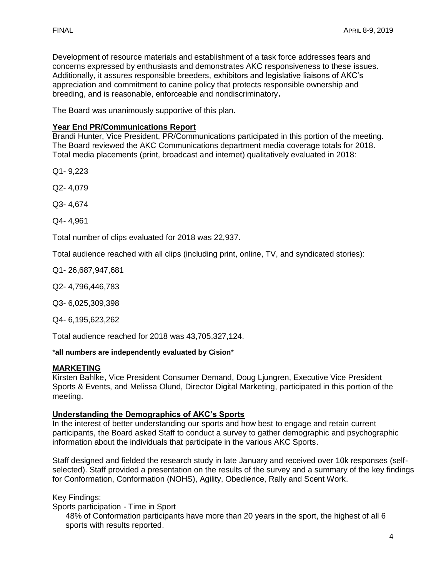Development of resource materials and establishment of a task force addresses fears and concerns expressed by enthusiasts and demonstrates AKC responsiveness to these issues. Additionally, it assures responsible breeders, exhibitors and legislative liaisons of AKC's appreciation and commitment to canine policy that protects responsible ownership and breeding, and is reasonable, enforceable and nondiscriminatory**.** 

The Board was unanimously supportive of this plan.

#### **Year End PR/Communications Report**

Brandi Hunter, Vice President, PR/Communications participated in this portion of the meeting. The Board reviewed the AKC Communications department media coverage totals for 2018. Total media placements (print, broadcast and internet) qualitatively evaluated in 2018:

Q1- 9,223

Q2- 4,079

Q3- 4,674

Q4- 4,961

Total number of clips evaluated for 2018 was 22,937.

Total audience reached with all clips (including print, online, TV, and syndicated stories):

Q1- 26,687,947,681

Q2- 4,796,446,783

Q3- 6,025,309,398

Q4- 6,195,623,262

Total audience reached for 2018 was 43,705,327,124.

\***all numbers are independently evaluated by Cision**\*

#### **MARKETING**

Kirsten Bahlke, Vice President Consumer Demand, Doug Ljungren, Executive Vice President Sports & Events, and Melissa Olund, Director Digital Marketing, participated in this portion of the meeting.

#### **Understanding the Demographics of AKC's Sports**

In the interest of better understanding our sports and how best to engage and retain current participants, the Board asked Staff to conduct a survey to gather demographic and psychographic information about the individuals that participate in the various AKC Sports.

Staff designed and fielded the research study in late January and received over 10k responses (selfselected). Staff provided a presentation on the results of the survey and a summary of the key findings for Conformation, Conformation (NOHS), Agility, Obedience, Rally and Scent Work.

Key Findings:

Sports participation - Time in Sport

48% of Conformation participants have more than 20 years in the sport, the highest of all 6 sports with results reported.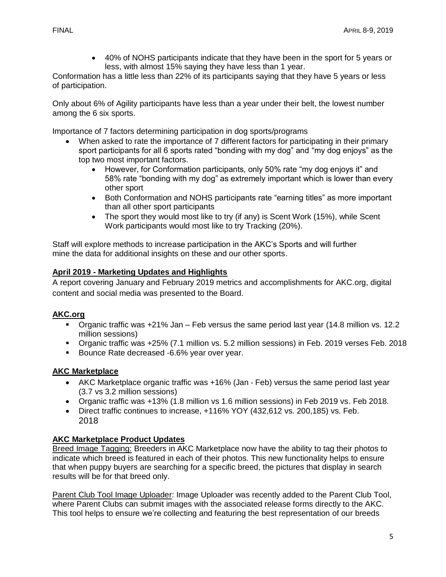• 40% of NOHS participants indicate that they have been in the sport for 5 years or less, with almost 15% saying they have less than 1 year.

Conformation has a little less than 22% of its participants saying that they have 5 years or less of participation.

Only about 6% of Agility participants have less than a year under their belt, the lowest number among the 6 six sports.

Importance of 7 factors determining participation in dog sports/programs

- When asked to rate the importance of 7 different factors for participating in their primary sport participants for all 6 sports rated "bonding with my dog" and "my dog enjoys" as the top two most important factors.
	- However, for Conformation participants, only 50% rate "my dog enjoys it" and 58% rate "bonding with my dog" as extremely important which is lower than every other sport
	- Both Conformation and NOHS participants rate "earning titles" as more important than all other sport participants
	- The sport they would most like to try (if any) is Scent Work (15%), while Scent Work participants would most like to try Tracking (20%).

Staff will explore methods to increase participation in the AKC's Sports and will further mine the data for additional insights on these and our other sports.

# **April 2019 - Marketing Updates and Highlights**

A report covering January and February 2019 metrics and accomplishments for AKC.org, digital content and social media was presented to the Board.

# **AKC.org**

- Organic traffic was +21% Jan Feb versus the same period last year (14.8 million vs. 12.2 million sessions)
- Organic traffic was +25% (7.1 million vs. 5.2 million sessions) in Feb. 2019 verses Feb. 2018
- Bounce Rate decreased -6.6% year over year.

# **AKC Marketplace**

- AKC Marketplace organic traffic was +16% (Jan Feb) versus the same period last year (3.7 vs 3.2 million sessions)
- Organic traffic was +13% (1.8 million vs 1.6 million sessions) in Feb 2019 vs. Feb 2018.
- Direct traffic continues to increase, +116% YOY (432,612 vs. 200,185) vs. Feb. 2018

### **AKC Marketplace Product Updates**

Breed Image Tagging: Breeders in AKC Marketplace now have the ability to tag their photos to indicate which breed is featured in each of their photos. This new functionality helps to ensure that when puppy buyers are searching for a specific breed, the pictures that display in search results will be for that breed only.

Parent Club Tool Image Uploader: Image Uploader was recently added to the Parent Club Tool, where Parent Clubs can submit images with the associated release forms directly to the AKC. This tool helps to ensure we're collecting and featuring the best representation of our breeds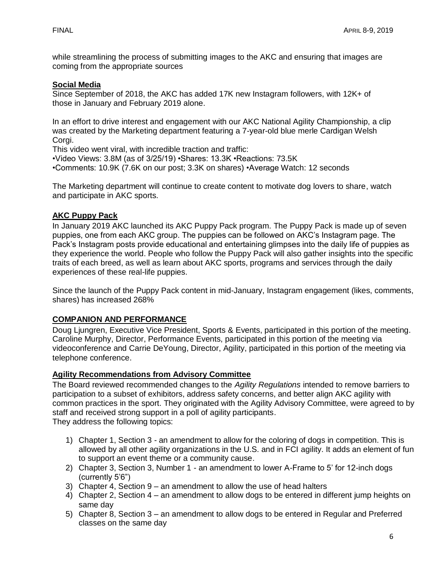while streamlining the process of submitting images to the AKC and ensuring that images are coming from the appropriate sources

### **Social Media**

Since September of 2018, the AKC has added 17K new Instagram followers, with 12K+ of those in January and February 2019 alone.

In an effort to drive interest and engagement with our AKC National Agility Championship, a clip was created by the Marketing department featuring a 7-year-old blue merle Cardigan Welsh Corgi.

This video went viral, with incredible traction and traffic:

•Video Views: 3.8M (as of 3/25/19) •Shares: 13.3K •Reactions: 73.5K

•Comments: 10.9K (7.6K on our post; 3.3K on shares) •Average Watch: 12 seconds

The Marketing department will continue to create content to motivate dog lovers to share, watch and participate in AKC sports.

### **AKC Puppy Pack**

In January 2019 AKC launched its AKC Puppy Pack program. The Puppy Pack is made up of seven puppies, one from each AKC group. The puppies can be followed on AKC's Instagram page. The Pack's Instagram posts provide educational and entertaining glimpses into the daily life of puppies as they experience the world. People who follow the Puppy Pack will also gather insights into the specific traits of each breed, as well as learn about AKC sports, programs and services through the daily experiences of these real-life puppies.

Since the launch of the Puppy Pack content in mid-January, Instagram engagement (likes, comments, shares) has increased 268%

### **COMPANION AND PERFORMANCE**

Doug Ljungren, Executive Vice President, Sports & Events, participated in this portion of the meeting. Caroline Murphy, Director, Performance Events, participated in this portion of the meeting via videoconference and Carrie DeYoung, Director, Agility, participated in this portion of the meeting via telephone conference.

### **Agility Recommendations from Advisory Committee**

The Board reviewed recommended changes to the *Agility Regulations* intended to remove barriers to participation to a subset of exhibitors, address safety concerns, and better align AKC agility with common practices in the sport. They originated with the Agility Advisory Committee, were agreed to by staff and received strong support in a poll of agility participants. They address the following topics:

- 1) Chapter 1, Section 3 an amendment to allow for the coloring of dogs in competition. This is allowed by all other agility organizations in the U.S. and in FCI agility. It adds an element of fun to support an event theme or a community cause.
- 2) Chapter 3, Section 3, Number 1 an amendment to lower A-Frame to 5' for 12-inch dogs (currently 5'6")
- 3) Chapter 4, Section 9 an amendment to allow the use of head halters
- 4) Chapter 2, Section 4 an amendment to allow dogs to be entered in different jump heights on same day
- 5) Chapter 8, Section 3 an amendment to allow dogs to be entered in Regular and Preferred classes on the same day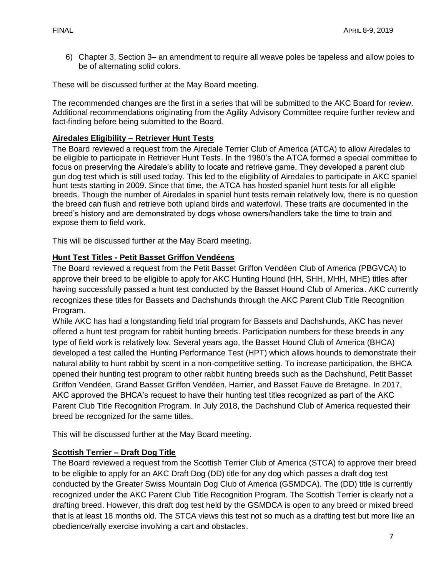6) Chapter 3, Section 3– an amendment to require all weave poles be tapeless and allow poles to be of alternating solid colors.

These will be discussed further at the May Board meeting.

The recommended changes are the first in a series that will be submitted to the AKC Board for review. Additional recommendations originating from the Agility Advisory Committee require further review and fact-finding before being submitted to the Board.

# **Airedales Eligibility – Retriever Hunt Tests**

The Board reviewed a request from the Airedale Terrier Club of America (ATCA) to allow Airedales to be eligible to participate in Retriever Hunt Tests. In the 1980's the ATCA formed a special committee to focus on preserving the Airedale's ability to locate and retrieve game. They developed a parent club gun dog test which is still used today. This led to the eligibility of Airedales to participate in AKC spaniel hunt tests starting in 2009. Since that time, the ATCA has hosted spaniel hunt tests for all eligible breeds. Though the number of Airedales in spaniel hunt tests remain relatively low, there is no question the breed can flush and retrieve both upland birds and waterfowl. These traits are documented in the breed's history and are demonstrated by dogs whose owners/handlers take the time to train and expose them to field work.

This will be discussed further at the May Board meeting.

# **Hunt Test Titles - Petit Basset Griffon Vendéens**

The Board reviewed a request from the Petit Basset Griffon Vendéen Club of America (PBGVCA) to approve their breed to be eligible to apply for AKC Hunting Hound (HH, SHH, MHH, MHE) titles after having successfully passed a hunt test conducted by the Basset Hound Club of America. AKC currently recognizes these titles for Bassets and Dachshunds through the AKC Parent Club Title Recognition Program.

While AKC has had a longstanding field trial program for Bassets and Dachshunds, AKC has never offered a hunt test program for rabbit hunting breeds. Participation numbers for these breeds in any type of field work is relatively low. Several years ago, the Basset Hound Club of America (BHCA) developed a test called the Hunting Performance Test (HPT) which allows hounds to demonstrate their natural ability to hunt rabbit by scent in a non-competitive setting. To increase participation, the BHCA opened their hunting test program to other rabbit hunting breeds such as the Dachshund, Petit Basset Griffon Vendéen, Grand Basset Griffon Vendéen, Harrier, and Basset Fauve de Bretagne. In 2017, AKC approved the BHCA's request to have their hunting test titles recognized as part of the AKC Parent Club Title Recognition Program. In July 2018, the Dachshund Club of America requested their breed be recognized for the same titles.

This will be discussed further at the May Board meeting.

# **Scottish Terrier – Draft Dog Title**

The Board reviewed a request from the Scottish Terrier Club of America (STCA) to approve their breed to be eligible to apply for an AKC Draft Dog (DD) title for any dog which passes a draft dog test conducted by the Greater Swiss Mountain Dog Club of America (GSMDCA). The (DD) title is currently recognized under the AKC Parent Club Title Recognition Program. The Scottish Terrier is clearly not a drafting breed. However, this draft dog test held by the GSMDCA is open to any breed or mixed breed that is at least 18 months old. The STCA views this test not so much as a drafting test but more like an obedience/rally exercise involving a cart and obstacles.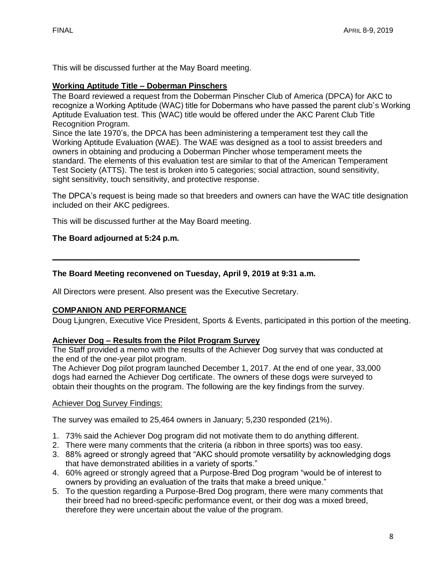This will be discussed further at the May Board meeting.

#### **Working Aptitude Title – Doberman Pinschers**

The Board reviewed a request from the Doberman Pinscher Club of America (DPCA) for AKC to recognize a Working Aptitude (WAC) title for Dobermans who have passed the parent club's Working Aptitude Evaluation test. This (WAC) title would be offered under the AKC Parent Club Title Recognition Program.

Since the late 1970's, the DPCA has been administering a temperament test they call the Working Aptitude Evaluation (WAE). The WAE was designed as a tool to assist breeders and owners in obtaining and producing a Doberman Pincher whose temperament meets the standard. The elements of this evaluation test are similar to that of the American Temperament Test Society (ATTS). The test is broken into 5 categories; social attraction, sound sensitivity, sight sensitivity, touch sensitivity, and protective response.

The DPCA's request is being made so that breeders and owners can have the WAC title designation included on their AKC pedigrees.

This will be discussed further at the May Board meeting.

#### **The Board adjourned at 5:24 p.m.**

#### **The Board Meeting reconvened on Tuesday, April 9, 2019 at 9:31 a.m.**

**\_\_\_\_\_\_\_\_\_\_\_\_\_\_\_\_\_\_\_\_\_\_\_\_\_\_\_\_\_\_\_\_\_\_\_\_\_\_\_\_\_\_\_\_\_\_\_\_\_\_\_\_\_\_\_\_\_\_\_\_\_\_\_\_\_\_\_\_\_**

All Directors were present. Also present was the Executive Secretary.

### **COMPANION AND PERFORMANCE**

Doug Ljungren, Executive Vice President, Sports & Events, participated in this portion of the meeting.

#### **Achiever Dog – Results from the Pilot Program Survey**

The Staff provided a memo with the results of the Achiever Dog survey that was conducted at the end of the one-year pilot program.

The Achiever Dog pilot program launched December 1, 2017. At the end of one year, 33,000 dogs had earned the Achiever Dog certificate. The owners of these dogs were surveyed to obtain their thoughts on the program. The following are the key findings from the survey.

#### Achiever Dog Survey Findings:

The survey was emailed to 25,464 owners in January; 5,230 responded (21%).

- 1. 73% said the Achiever Dog program did not motivate them to do anything different.
- 2. There were many comments that the criteria (a ribbon in three sports) was too easy.
- 3. 88% agreed or strongly agreed that "AKC should promote versatility by acknowledging dogs that have demonstrated abilities in a variety of sports."
- 4. 60% agreed or strongly agreed that a Purpose-Bred Dog program "would be of interest to owners by providing an evaluation of the traits that make a breed unique."
- 5. To the question regarding a Purpose-Bred Dog program, there were many comments that their breed had no breed-specific performance event, or their dog was a mixed breed, therefore they were uncertain about the value of the program.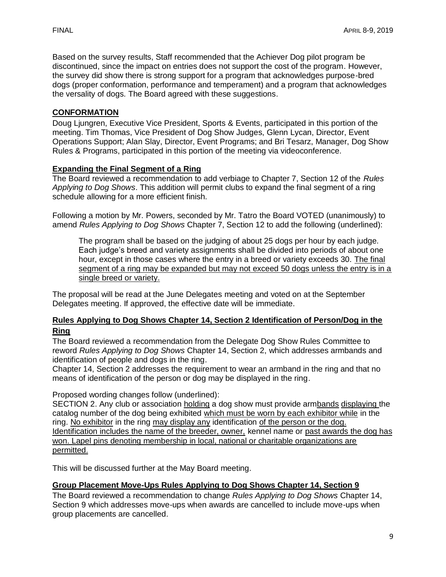Based on the survey results, Staff recommended that the Achiever Dog pilot program be discontinued, since the impact on entries does not support the cost of the program. However, the survey did show there is strong support for a program that acknowledges purpose-bred dogs (proper conformation, performance and temperament) and a program that acknowledges the versality of dogs. The Board agreed with these suggestions.

### **CONFORMATION**

Doug Ljungren, Executive Vice President, Sports & Events, participated in this portion of the meeting. Tim Thomas, Vice President of Dog Show Judges, Glenn Lycan, Director, Event Operations Support; Alan Slay, Director, Event Programs; and Bri Tesarz, Manager, Dog Show Rules & Programs, participated in this portion of the meeting via videoconference.

### **Expanding the Final Segment of a Ring**

The Board reviewed a recommendation to add verbiage to Chapter 7, Section 12 of the *Rules Applying to Dog Shows*. This addition will permit clubs to expand the final segment of a ring schedule allowing for a more efficient finish.

Following a motion by Mr. Powers, seconded by Mr. Tatro the Board VOTED (unanimously) to amend *Rules Applying to Dog Shows* Chapter 7, Section 12 to add the following (underlined):

The program shall be based on the judging of about 25 dogs per hour by each judge. Each judge's breed and variety assignments shall be divided into periods of about one hour, except in those cases where the entry in a breed or variety exceeds 30. The final segment of a ring may be expanded but may not exceed 50 dogs unless the entry is in a single breed or variety.

The proposal will be read at the June Delegates meeting and voted on at the September Delegates meeting. If approved, the effective date will be immediate.

### **Rules Applying to Dog Shows Chapter 14, Section 2 Identification of Person/Dog in the Ring**

The Board reviewed a recommendation from the Delegate Dog Show Rules Committee to reword *Rules Applying to Dog Shows* Chapter 14, Section 2, which addresses armbands and identification of people and dogs in the ring.

Chapter 14, Section 2 addresses the requirement to wear an armband in the ring and that no means of identification of the person or dog may be displayed in the ring.

Proposed wording changes follow (underlined):

SECTION 2. Any club or association holding a dog show must provide armbands displaying the catalog number of the dog being exhibited which must be worn by each exhibitor while in the ring. No exhibitor in the ring may display any identification of the person or the dog. Identification includes the name of the breeder, owner, kennel name or past awards the dog has won. Lapel pins denoting membership in local, national or charitable organizations are permitted.

This will be discussed further at the May Board meeting.

### **Group Placement Move-Ups Rules Applying to Dog Shows Chapter 14, Section 9**

The Board reviewed a recommendation to change *Rules Applying to Dog Shows* Chapter 14, Section 9 which addresses move-ups when awards are cancelled to include move-ups when group placements are cancelled.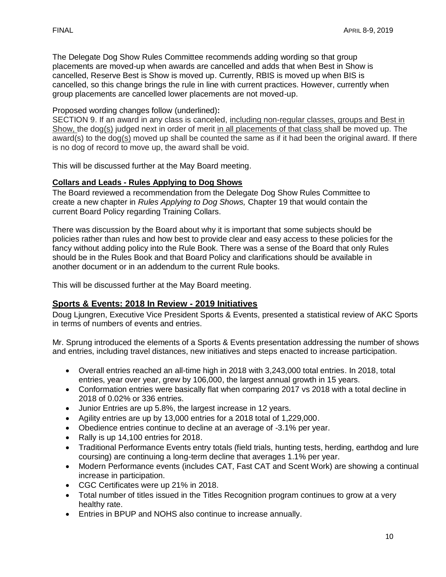The Delegate Dog Show Rules Committee recommends adding wording so that group placements are moved-up when awards are cancelled and adds that when Best in Show is cancelled, Reserve Best is Show is moved up. Currently, RBIS is moved up when BIS is cancelled, so this change brings the rule in line with current practices. However, currently when group placements are cancelled lower placements are not moved-up.

Proposed wording changes follow (underlined)**:**

SECTION 9. If an award in any class is canceled, including non-regular classes, groups and Best in Show, the dog(s) judged next in order of merit in all placements of that class shall be moved up. The award(s) to the dog(s) moved up shall be counted the same as if it had been the original award. If there is no dog of record to move up, the award shall be void.

This will be discussed further at the May Board meeting.

### **Collars and Leads - Rules Applying to Dog Shows**

The Board reviewed a recommendation from the Delegate Dog Show Rules Committee to create a new chapter in *Rules Applying to Dog Shows,* Chapter 19 that would contain the current Board Policy regarding Training Collars.

There was discussion by the Board about why it is important that some subjects should be policies rather than rules and how best to provide clear and easy access to these policies for the fancy without adding policy into the Rule Book. There was a sense of the Board that only Rules should be in the Rules Book and that Board Policy and clarifications should be available in another document or in an addendum to the current Rule books.

This will be discussed further at the May Board meeting.

# **Sports & Events: 2018 In Review - 2019 Initiatives**

Doug Ljungren, Executive Vice President Sports & Events, presented a statistical review of AKC Sports in terms of numbers of events and entries.

Mr. Sprung introduced the elements of a Sports & Events presentation addressing the number of shows and entries, including travel distances, new initiatives and steps enacted to increase participation.

- Overall entries reached an all-time high in 2018 with 3,243,000 total entries. In 2018, total entries, year over year, grew by 106,000, the largest annual growth in 15 years.
- Conformation entries were basically flat when comparing 2017 vs 2018 with a total decline in 2018 of 0.02% or 336 entries.
- Junior Entries are up 5.8%, the largest increase in 12 years.
- Agility entries are up by 13,000 entries for a 2018 total of 1,229,000.
- Obedience entries continue to decline at an average of -3.1% per year.
- Rally is up 14,100 entries for 2018.
- Traditional Performance Events entry totals (field trials, hunting tests, herding, earthdog and lure coursing) are continuing a long-term decline that averages 1.1% per year.
- Modern Performance events (includes CAT, Fast CAT and Scent Work) are showing a continual increase in participation.
- CGC Certificates were up 21% in 2018.
- Total number of titles issued in the Titles Recognition program continues to grow at a very healthy rate.
- Entries in BPUP and NOHS also continue to increase annually.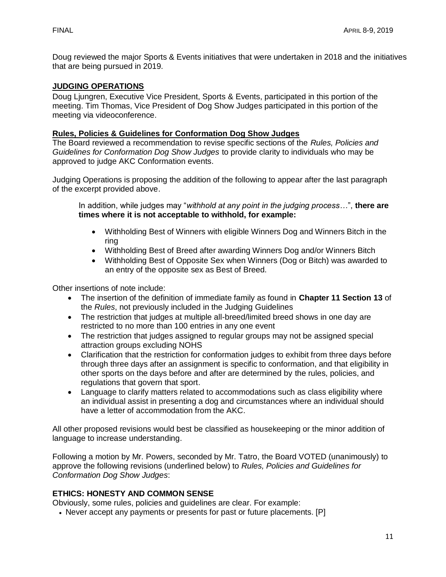Doug reviewed the major Sports & Events initiatives that were undertaken in 2018 and the initiatives that are being pursued in 2019.

### **JUDGING OPERATIONS**

Doug Ljungren, Executive Vice President, Sports & Events, participated in this portion of the meeting. Tim Thomas, Vice President of Dog Show Judges participated in this portion of the meeting via videoconference.

# **Rules, Policies & Guidelines for Conformation Dog Show Judges**

The Board reviewed a recommendation to revise specific sections of the *Rules, Policies and Guidelines for Conformation Dog Show Judges* to provide clarity to individuals who may be approved to judge AKC Conformation events.

Judging Operations is proposing the addition of the following to appear after the last paragraph of the excerpt provided above.

In addition, while judges may "*withhold at any point in the judging process…*", **there are times where it is not acceptable to withhold, for example:**

- Withholding Best of Winners with eligible Winners Dog and Winners Bitch in the ring
- Withholding Best of Breed after awarding Winners Dog and/or Winners Bitch
- Withholding Best of Opposite Sex when Winners (Dog or Bitch) was awarded to an entry of the opposite sex as Best of Breed.

Other insertions of note include:

- The insertion of the definition of immediate family as found in **Chapter 11 Section 13** of the *Rules*, not previously included in the Judging Guidelines
- The restriction that judges at multiple all-breed/limited breed shows in one day are restricted to no more than 100 entries in any one event
- The restriction that judges assigned to regular groups may not be assigned special attraction groups excluding NOHS
- Clarification that the restriction for conformation judges to exhibit from three days before through three days after an assignment is specific to conformation, and that eligibility in other sports on the days before and after are determined by the rules, policies, and regulations that govern that sport.
- Language to clarify matters related to accommodations such as class eligibility where an individual assist in presenting a dog and circumstances where an individual should have a letter of accommodation from the AKC.

All other proposed revisions would best be classified as housekeeping or the minor addition of language to increase understanding.

Following a motion by Mr. Powers, seconded by Mr. Tatro, the Board VOTED (unanimously) to approve the following revisions (underlined below) to *Rules, Policies and Guidelines for Conformation Dog Show Judges*:

### **ETHICS: HONESTY AND COMMON SENSE**

Obviously, some rules, policies and guidelines are clear. For example:

• Never accept any payments or presents for past or future placements. [P]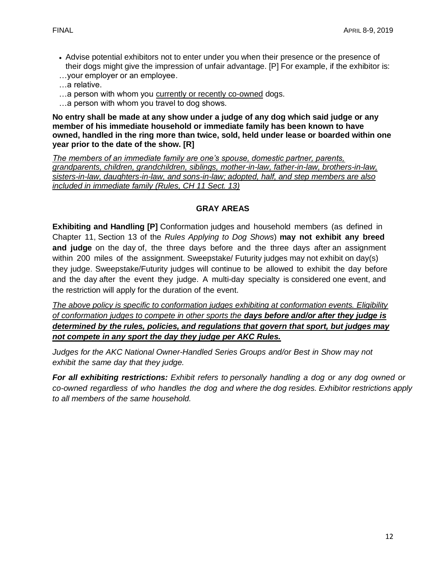- Advise potential exhibitors not to enter under you when their presence or the presence of their dogs might give the impression of unfair advantage. [P] For example, if the exhibitor is:
- …your employer or an employee.
- …a relative.
- …a person with whom you currently or recently co-owned dogs.
- …a person with whom you travel to dog shows.

**No entry shall be made at any show under a judge of any dog which said judge or any member of his immediate household or immediate family has been known to have owned, handled in the ring more than twice, sold, held under lease or boarded within one year prior to the date of the show. [R]** 

*The members of an immediate family are one's spouse, domestic partner, parents, grandparents, children, grandchildren, siblings, mother-in-law, father-in-law, brothers-in-law, sisters-in-law, daughters-in-law, and sons-in-law; adopted, half, and step members are also included in immediate family (Rules, CH 11 Sect. 13)*

# **GRAY AREAS**

**Exhibiting and Handling [P]** Conformation judges and household members (as defined in Chapter 11, Section 13 of the *Rules Applying to Dog Shows*) **may not exhibit any breed and judge** on the day of, the three days before and the three days after an assignment within 200 miles of the assignment. Sweepstake/ Futurity judges may not exhibit on day(s) they judge. Sweepstake/Futurity judges will continue to be allowed to exhibit the day before and the day after the event they judge. A multi-day specialty is considered one event, and the restriction will apply for the duration of the event.

*The above policy is specific to conformation judges exhibiting at conformation events. Eligibility of conformation judges to compete in other sports the days before and/or after they judge is determined by the rules, policies, and regulations that govern that sport, but judges may not compete in any sport the day they judge per AKC Rules.* 

*Judges for the AKC National Owner-Handled Series Groups and/or Best in Show may not exhibit the same day that they judge.*

*For all exhibiting restrictions: Exhibit refers to personally handling a dog or any dog owned or co-owned regardless of who handles the dog and where the dog resides. Exhibitor restrictions apply to all members of the same household.*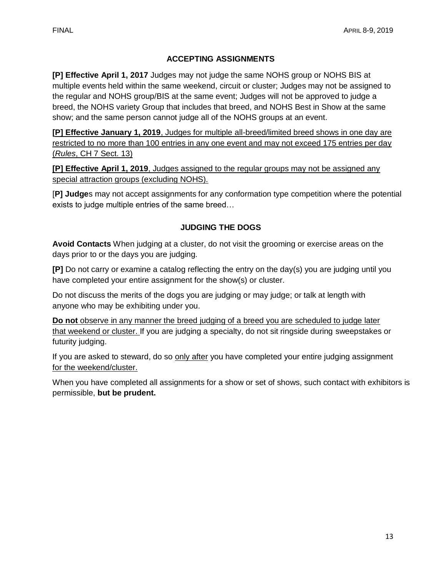# **ACCEPTING ASSIGNMENTS**

**[P] Effective April 1, 2017** Judges may not judge the same NOHS group or NOHS BIS at multiple events held within the same weekend, circuit or cluster; Judges may not be assigned to the regular and NOHS group/BIS at the same event; Judges will not be approved to judge a breed, the NOHS variety Group that includes that breed, and NOHS Best in Show at the same show; and the same person cannot judge all of the NOHS groups at an event.

**[P] Effective January 1, 2019**, Judges for multiple all-breed/limited breed shows in one day are restricted to no more than 100 entries in any one event and may not exceed 175 entries per day (*Rules*, CH 7 Sect. 13)

**[P] Effective April 1, 2019**, Judges assigned to the regular groups may not be assigned any special attraction groups (excluding NOHS).

[**P] Judge**s may not accept assignments for any conformation type competition where the potential exists to judge multiple entries of the same breed…

# **JUDGING THE DOGS**

**Avoid Contacts** When judging at a cluster, do not visit the grooming or exercise areas on the days prior to or the days you are judging.

**[P]** Do not carry or examine a catalog reflecting the entry on the day(s) you are judging until you have completed your entire assignment for the show(s) or cluster.

Do not discuss the merits of the dogs you are judging or may judge; or talk at length with anyone who may be exhibiting under you.

**Do not** observe in any manner the breed judging of a breed you are scheduled to judge later that weekend or cluster. If you are judging a specialty, do not sit ringside during sweepstakes or futurity judging.

If you are asked to steward, do so only after you have completed your entire judging assignment for the weekend/cluster.

When you have completed all assignments for a show or set of shows, such contact with exhibitors is permissible, **but be prudent.**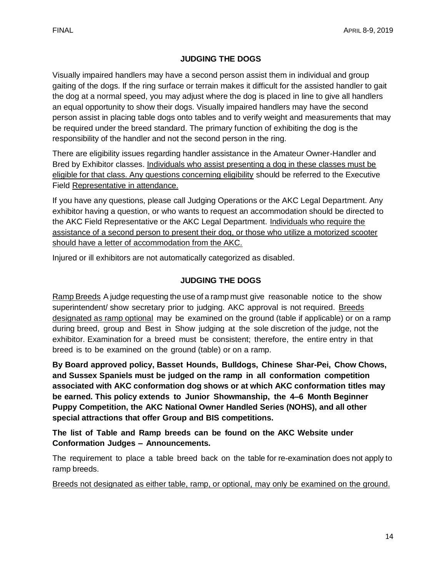# **JUDGING THE DOGS**

Visually impaired handlers may have a second person assist them in individual and group gaiting of the dogs. If the ring surface or terrain makes it difficult for the assisted handler to gait the dog at a normal speed, you may adjust where the dog is placed in line to give all handlers an equal opportunity to show their dogs. Visually impaired handlers may have the second person assist in placing table dogs onto tables and to verify weight and measurements that may be required under the breed standard. The primary function of exhibiting the dog is the responsibility of the handler and not the second person in the ring.

There are eligibility issues regarding handler assistance in the Amateur Owner-Handler and Bred by Exhibitor classes. Individuals who assist presenting a dog in these classes must be eligible for that class. Any questions concerning eligibility should be referred to the Executive Field Representative in attendance.

If you have any questions, please call Judging Operations or the AKC Legal Department. Any exhibitor having a question, or who wants to request an accommodation should be directed to the AKC Field Representative or the AKC Legal Department. Individuals who require the assistance of a second person to present their dog, or those who utilize a motorized scooter should have a letter of accommodation from the AKC.

Injured or ill exhibitors are not automatically categorized as disabled.

# **JUDGING THE DOGS**

Ramp Breeds A judge requesting the use of a ramp must give reasonable notice to the show superintendent/ show secretary prior to judging. AKC approval is not required. Breeds designated as ramp optional may be examined on the ground (table if applicable) or on a ramp during breed, group and Best in Show judging at the sole discretion of the judge, not the exhibitor. Examination for a breed must be consistent; therefore, the entire entry in that breed is to be examined on the ground (table) or on a ramp.

**By Board approved policy, Basset Hounds, Bulldogs, Chinese Shar-Pei, Chow Chows, and Sussex Spaniels must be judged on the ramp in all conformation competition associated with AKC conformation dog shows or at which AKC conformation titles may be earned. This policy extends to Junior Showmanship, the 4–6 Month Beginner Puppy Competition, the AKC National Owner Handled Series (NOHS), and all other special attractions that offer Group and BIS competitions.**

**The list of Table and Ramp breeds can be found on the AKC Website under Conformation Judges – Announcements.**

The requirement to place a table breed back on the table for re-examination does not apply to ramp breeds.

Breeds not designated as either table, ramp, or optional, may only be examined on the ground.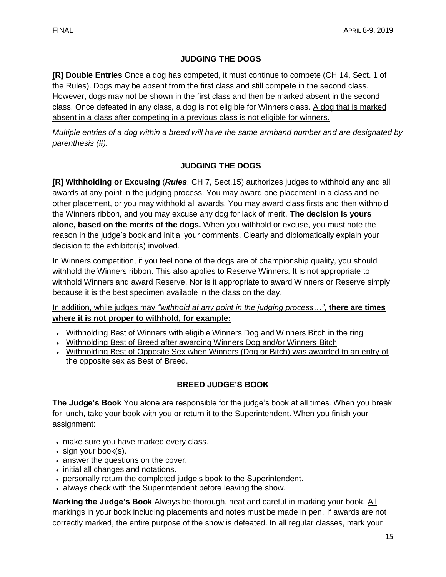# **JUDGING THE DOGS**

**[R] Double Entries** Once a dog has competed, it must continue to compete (CH 14, Sect. 1 of the Rules). Dogs may be absent from the first class and still compete in the second class. However, dogs may not be shown in the first class and then be marked absent in the second class. Once defeated in any class, a dog is not eligible for Winners class. A dog that is marked absent in a class after competing in a previous class is not eligible for winners.

*Multiple entries of a dog within a breed will have the same armband number and are designated by parenthesis (#).*

# **JUDGING THE DOGS**

**[R] Withholding or Excusing** (*Rules*, CH 7, Sect.15) authorizes judges to withhold any and all awards at any point in the judging process. You may award one placement in a class and no other placement, or you may withhold all awards. You may award class firsts and then withhold the Winners ribbon, and you may excuse any dog for lack of merit. **The decision is yours alone, based on the merits of the dogs.** When you withhold or excuse, you must note the reason in the judge's book and initial your comments. Clearly and diplomatically explain your decision to the exhibitor(s) involved.

In Winners competition, if you feel none of the dogs are of championship quality, you should withhold the Winners ribbon. This also applies to Reserve Winners. It is not appropriate to withhold Winners and award Reserve. Nor is it appropriate to award Winners or Reserve simply because it is the best specimen available in the class on the day.

# In addition, while judges may *"withhold at any point in the judging process…"*, **there are times where it is not proper to withhold, for example:**

- Withholding Best of Winners with eligible Winners Dog and Winners Bitch in the ring
- Withholding Best of Breed after awarding Winners Dog and/or Winners Bitch
- Withholding Best of Opposite Sex when Winners (Dog or Bitch) was awarded to an entry of the opposite sex as Best of Breed.

# **BREED JUDGE'S BOOK**

**The Judge's Book** You alone are responsible for the judge's book at all times. When you break for lunch, take your book with you or return it to the Superintendent. When you finish your assignment:

- make sure you have marked every class.
- sign your book(s).
- answer the questions on the cover.
- initial all changes and notations.
- personally return the completed judge's book to the Superintendent.
- always check with the Superintendent before leaving the show.

**Marking the Judge's Book** Always be thorough, neat and careful in marking your book. All markings in your book including placements and notes must be made in pen. If awards are not correctly marked, the entire purpose of the show is defeated. In all regular classes, mark your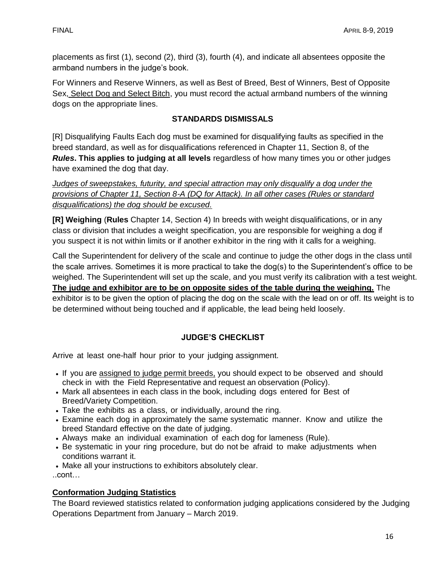placements as first (1), second (2), third (3), fourth (4), and indicate all absentees opposite the armband numbers in the judge's book.

For Winners and Reserve Winners, as well as Best of Breed, Best of Winners, Best of Opposite Sex, Select Dog and Select Bitch, you must record the actual armband numbers of the winning dogs on the appropriate lines.

# **STANDARDS DISMISSALS**

[R] Disqualifying Faults Each dog must be examined for disqualifying faults as specified in the breed standard, as well as for disqualifications referenced in Chapter 11, Section 8, of the *Rules***. This applies to judging at all levels** regardless of how many times you or other judges have examined the dog that day.

*Judges of sweepstakes, futurity, and special attraction may only disqualify a dog under the provisions of Chapter 11, Section 8-A (DQ for Attack). In all other cases (Rules or standard disqualifications) the dog should be excused.* 

**[R] Weighing** (**Rules** Chapter 14, Section 4) In breeds with weight disqualifications, or in any class or division that includes a weight specification, you are responsible for weighing a dog if you suspect it is not within limits or if another exhibitor in the ring with it calls for a weighing.

Call the Superintendent for delivery of the scale and continue to judge the other dogs in the class until the scale arrives. Sometimes it is more practical to take the dog(s) to the Superintendent's office to be weighed. The Superintendent will set up the scale, and you must verify its calibration with a test weight. **The judge and exhibitor are to be on opposite sides of the table during the weighing.** The exhibitor is to be given the option of placing the dog on the scale with the lead on or off. Its weight is to be determined without being touched and if applicable, the lead being held loosely.

# **JUDGE'S CHECKLIST**

Arrive at least one-half hour prior to your judging assignment.

- If you are assigned to judge permit breeds, you should expect to be observed and should check in with the Field Representative and request an observation (Policy).
- Mark all absentees in each class in the book, including dogs entered for Best of Breed/Variety Competition.
- Take the exhibits as a class, or individually, around the ring.
- Examine each dog in approximately the same systematic manner. Know and utilize the breed Standard effective on the date of judging.
- Always make an individual examination of each dog for lameness (Rule).
- Be systematic in your ring procedure, but do not be afraid to make adjustments when conditions warrant it.
- Make all your instructions to exhibitors absolutely clear.

..cont…

# **Conformation Judging Statistics**

The Board reviewed statistics related to conformation judging applications considered by the Judging Operations Department from January – March 2019.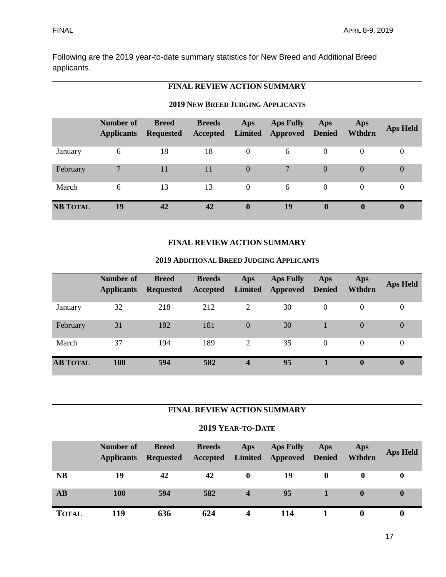Following are the 2019 year-to-date summary statistics for New Breed and Additional Breed applicants.

# **FINAL REVIEW ACTION SUMMARY**

### **2019 NEW BREED JUDGING APPLICANTS**

|                 | <b>Number of</b><br><b>Applicants</b> | <b>Breed</b><br><b>Requested</b> | <b>Breeds</b><br>Accepted | Aps<br>Limited | <b>Aps Fully</b><br><b>Approved</b> Denied | Aps      | Aps<br>Wthdrn | <b>Aps Held</b>  |
|-----------------|---------------------------------------|----------------------------------|---------------------------|----------------|--------------------------------------------|----------|---------------|------------------|
| January         | 6                                     | 18                               | 18                        | $\theta$       | 6                                          | $\theta$ | $\theta$      | $\overline{0}$   |
| February        | $\mathbf{r}$                          | 11                               | 11                        | $\theta$       |                                            | $\Omega$ | $\Omega$      | $\boldsymbol{0}$ |
| March           | 6                                     | 13                               | 13                        | $\Omega$       | 6                                          | $\Omega$ | 0             | 0                |
| <b>NB TOTAL</b> | 19                                    | 42                               | 42                        | $\mathbf{0}$   | 19                                         | 0        | $\mathbf{0}$  | $\bf{0}$         |

# **FINAL REVIEW ACTION SUMMARY**

#### **2019 ADDITIONAL BREED JUDGING APPLICANTS**

|                 | <b>Number of</b><br><b>Applicants</b> | <b>Breed</b><br><b>Requested</b> | <b>Breeds</b><br>Accepted | Aps<br><b>Limited</b> | <b>Aps Fully</b><br><b>Approved</b> Denied | Aps      | Aps<br>Wthdrn | <b>Aps Held</b> |
|-----------------|---------------------------------------|----------------------------------|---------------------------|-----------------------|--------------------------------------------|----------|---------------|-----------------|
| January         | 32                                    | 218                              | 212                       | 2                     | 30                                         | $\Omega$ | $\Omega$      | 0               |
| February        | 31                                    | 182                              | 181                       | $\Omega$              | 30                                         |          | $\Omega$      | $\overline{0}$  |
| March           | 37                                    | 194                              | 189                       | 2                     | 35                                         | $\Omega$ | 0             | 0               |
| <b>AB TOTAL</b> | <b>100</b>                            | 594                              | 582                       | 4                     | 95                                         |          | $\bf{0}$      | 0               |

# **FINAL REVIEW ACTION SUMMARY**

#### **2019 YEAR-TO-DATE**

|              | Number of<br><b>Applicants</b> | <b>Breed</b><br><b>Requested</b> | <b>Breeds</b><br>Accepted | Aps          | <b>Aps Fully</b><br>Limited Approved Denied | Aps | Aps<br>Wthdrn | <b>Aps Held</b> |
|--------------|--------------------------------|----------------------------------|---------------------------|--------------|---------------------------------------------|-----|---------------|-----------------|
| <b>NB</b>    | 19                             | 42                               | 42                        | $\mathbf{0}$ | 19                                          | 0   | $\mathbf{0}$  |                 |
| <b>AB</b>    | 100                            | 594                              | 582                       | 4            | 95                                          |     |               |                 |
| <b>TOTAL</b> | 119                            | 636                              | 624                       |              | 14                                          |     |               |                 |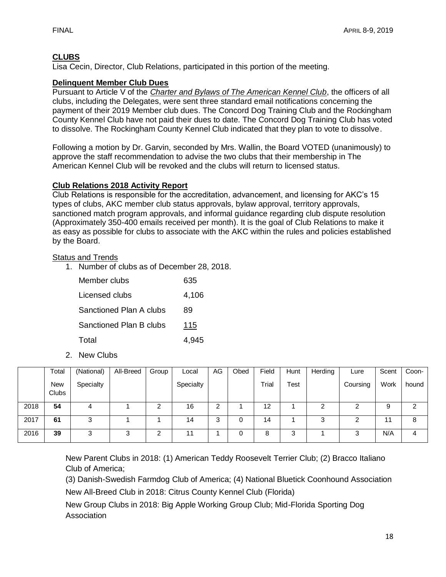# **CLUBS**

Lisa Cecin, Director, Club Relations, participated in this portion of the meeting.

# **Delinquent Member Club Dues**

Pursuant to Article V of the *Charter and Bylaws of The American Kennel Club*, the officers of all clubs, including the Delegates, were sent three standard email notifications concerning the payment of their 2019 Member club dues. The Concord Dog Training Club and the Rockingham County Kennel Club have not paid their dues to date. The Concord Dog Training Club has voted to dissolve. The Rockingham County Kennel Club indicated that they plan to vote to dissolve.

Following a motion by Dr. Garvin, seconded by Mrs. Wallin, the Board VOTED (unanimously) to approve the staff recommendation to advise the two clubs that their membership in The American Kennel Club will be revoked and the clubs will return to licensed status.

# **Club Relations 2018 Activity Report**

Club Relations is responsible for the accreditation, advancement, and licensing for AKC's 15 types of clubs, AKC member club status approvals, bylaw approval, territory approvals, sanctioned match program approvals, and informal guidance regarding club dispute resolution (Approximately 350-400 emails received per month). It is the goal of Club Relations to make it as easy as possible for clubs to associate with the AKC within the rules and policies established by the Board.

# Status and Trends

1. Number of clubs as of December 28, 2018.

| Member clubs            | 635   |
|-------------------------|-------|
| Licensed clubs          | 4,106 |
| Sanctioned Plan A clubs | 89    |
| Sanctioned Plan B clubs | 115   |
| Total                   | 4,945 |

2. New Clubs

|      | Total                      | (National) | All-Breed | Group | Local     | AG     | Obed | Field | Hunt | Herding | Lure     | Scent | Coon- |
|------|----------------------------|------------|-----------|-------|-----------|--------|------|-------|------|---------|----------|-------|-------|
|      | <b>New</b><br><b>Clubs</b> | Specialty  |           |       | Specialty |        |      | Trial | Test |         | Coursing | Work  | hound |
| 2018 | 54                         |            |           | റ     | 16        | ົ<br>∠ |      | 12    |      |         | ົ        | 9     | 2     |
| 2017 | 61                         | っ<br>د     |           |       | 14        | 3      |      | 14    |      | っ<br>J  |          | 11    | 8     |
| 2016 | 39                         | 2          | ົ<br>د    | റ     | 11        |        |      | 8     | 3    |         |          | N/A   | 4     |

New Parent Clubs in 2018: (1) American Teddy Roosevelt Terrier Club; (2) Bracco Italiano Club of America;

(3) Danish-Swedish Farmdog Club of America; (4) National Bluetick Coonhound Association

New All-Breed Club in 2018: Citrus County Kennel Club (Florida)

New Group Clubs in 2018: Big Apple Working Group Club; Mid-Florida Sporting Dog Association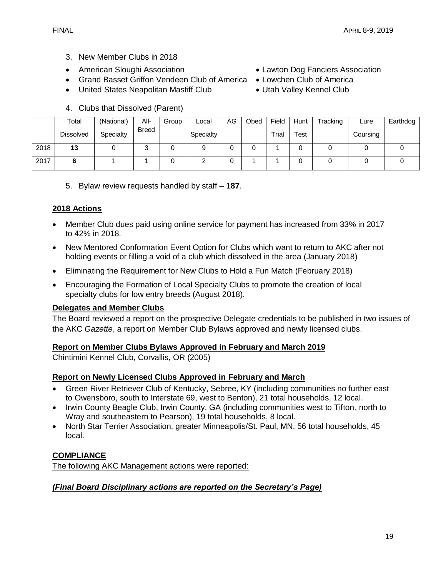- 3. New Member Clubs in 2018
- 
- Grand Basset Griffon Vendeen Club of America Lowchen Club of America
- United States Neapolitan Mastiff Club Utah Valley Kennel Club
- **Total** Dissolved (National) **Specialty** All-Breed Group Local **Specialty** AG Obed Field Trial Hunt Test Tracking | Lure **Coursing** Earthdog 2018 | **13** | 0 | 3 | 0 | 9 | 0 | 0 | 1 | 0 | 0 | 0 | 0 | 0 2017 **6** 1 1 0 2 0 1 1 0 0 0 0 0
- 4. Clubs that Dissolved (Parent)

5. Bylaw review requests handled by staff – **187**.

# **2018 Actions**

- Member Club dues paid using online service for payment has increased from 33% in 2017 to 42% in 2018.
- New Mentored Conformation Event Option for Clubs which want to return to AKC after not holding events or filling a void of a club which dissolved in the area (January 2018)
- Eliminating the Requirement for New Clubs to Hold a Fun Match (February 2018)
- Encouraging the Formation of Local Specialty Clubs to promote the creation of local specialty clubs for low entry breeds (August 2018).

### **Delegates and Member Clubs**

The Board reviewed a report on the prospective Delegate credentials to be published in two issues of the AKC *Gazette*, a report on Member Club Bylaws approved and newly licensed clubs.

### **Report on Member Clubs Bylaws Approved in February and March 2019**

Chintimini Kennel Club, Corvallis, OR (2005)

### **Report on Newly Licensed Clubs Approved in February and March**

- Green River Retriever Club of Kentucky, Sebree, KY (including communities no further east to Owensboro, south to Interstate 69, west to Benton), 21 total households, 12 local.
- Irwin County Beagle Club, Irwin County, GA (including communities west to Tifton, north to Wray and southeastern to Pearson), 19 total households, 8 local.
- North Star Terrier Association, greater Minneapolis/St. Paul, MN, 56 total households, 45 local.

### **COMPLIANCE**

The following AKC Management actions were reported:

### *(Final Board Disciplinary actions are reported on the Secretary's Page)*

- American Sloughi Association Lawton Dog Fanciers Association
	-
	-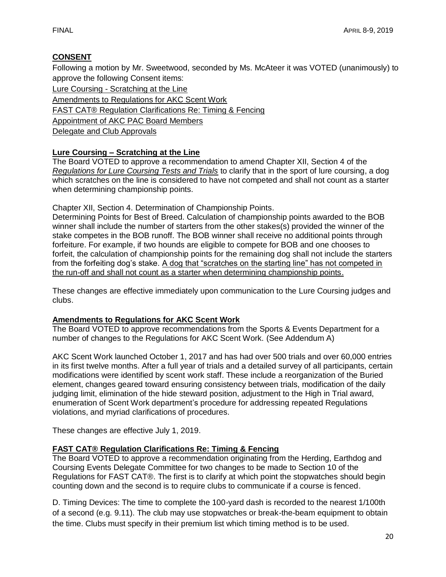# **CONSENT**

Following a motion by Mr. Sweetwood, seconded by Ms. McAteer it was VOTED (unanimously) to approve the following Consent items:

Lure Coursing - Scratching at the Line Amendments to Regulations for AKC Scent Work FAST CAT® Regulation Clarifications Re: Timing & Fencing Appointment of AKC PAC Board Members Delegate and Club Approvals

# **Lure Coursing – Scratching at the Line**

The Board VOTED to approve a recommendation to amend Chapter XII, Section 4 of the *Regulations for Lure Coursing Tests and Trials* to clarify that in the sport of lure coursing, a dog which scratches on the line is considered to have not competed and shall not count as a starter when determining championship points.

Chapter XII, Section 4. Determination of Championship Points.

Determining Points for Best of Breed. Calculation of championship points awarded to the BOB winner shall include the number of starters from the other stakes(s) provided the winner of the stake competes in the BOB runoff. The BOB winner shall receive no additional points through forfeiture. For example, if two hounds are eligible to compete for BOB and one chooses to forfeit, the calculation of championship points for the remaining dog shall not include the starters from the forfeiting dog's stake. A dog that "scratches on the starting line" has not competed in the run-off and shall not count as a starter when determining championship points.

These changes are effective immediately upon communication to the Lure Coursing judges and clubs.

# **Amendments to Regulations for AKC Scent Work**

The Board VOTED to approve recommendations from the Sports & Events Department for a number of changes to the Regulations for AKC Scent Work. (See Addendum A)

AKC Scent Work launched October 1, 2017 and has had over 500 trials and over 60,000 entries in its first twelve months. After a full year of trials and a detailed survey of all participants, certain modifications were identified by scent work staff. These include a reorganization of the Buried element, changes geared toward ensuring consistency between trials, modification of the daily judging limit, elimination of the hide steward position, adjustment to the High in Trial award, enumeration of Scent Work department's procedure for addressing repeated Regulations violations, and myriad clarifications of procedures.

These changes are effective July 1, 2019.

# **FAST CAT® Regulation Clarifications Re: Timing & Fencing**

The Board VOTED to approve a recommendation originating from the Herding, Earthdog and Coursing Events Delegate Committee for two changes to be made to Section 10 of the Regulations for FAST CAT®. The first is to clarify at which point the stopwatches should begin counting down and the second is to require clubs to communicate if a course is fenced.

D. Timing Devices: The time to complete the 100-yard dash is recorded to the nearest 1/100th of a second (e.g. 9.11). The club may use stopwatches or break-the-beam equipment to obtain the time. Clubs must specify in their premium list which timing method is to be used.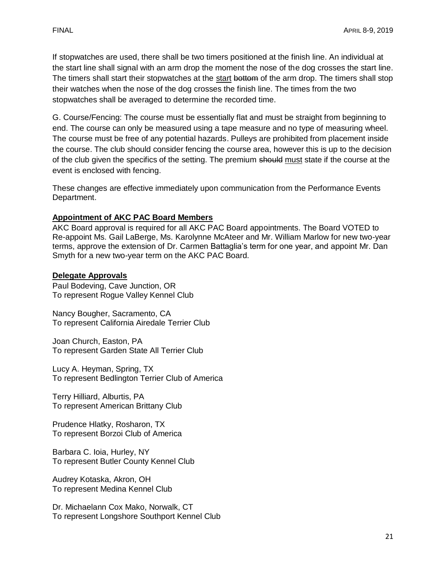If stopwatches are used, there shall be two timers positioned at the finish line. An individual at the start line shall signal with an arm drop the moment the nose of the dog crosses the start line. The timers shall start their stopwatches at the start bottom of the arm drop. The timers shall stop their watches when the nose of the dog crosses the finish line. The times from the two stopwatches shall be averaged to determine the recorded time.

G. Course/Fencing: The course must be essentially flat and must be straight from beginning to end. The course can only be measured using a tape measure and no type of measuring wheel. The course must be free of any potential hazards. Pulleys are prohibited from placement inside the course. The club should consider fencing the course area, however this is up to the decision of the club given the specifics of the setting. The premium should must state if the course at the event is enclosed with fencing.

These changes are effective immediately upon communication from the Performance Events Department.

### **Appointment of AKC PAC Board Members**

AKC Board approval is required for all AKC PAC Board appointments. The Board VOTED to Re-appoint Ms. Gail LaBerge, Ms. Karolynne McAteer and Mr. William Marlow for new two-year terms, approve the extension of Dr. Carmen Battaglia's term for one year, and appoint Mr. Dan Smyth for a new two-year term on the AKC PAC Board.

#### **Delegate Approvals**

Paul Bodeving, Cave Junction, OR To represent Rogue Valley Kennel Club

Nancy Bougher, Sacramento, CA To represent California Airedale Terrier Club

Joan Church, Easton, PA To represent Garden State All Terrier Club

Lucy A. Heyman, Spring, TX To represent Bedlington Terrier Club of America

Terry Hilliard, Alburtis, PA To represent American Brittany Club

Prudence Hlatky, Rosharon, TX To represent Borzoi Club of America

Barbara C. Ioia, Hurley, NY To represent Butler County Kennel Club

Audrey Kotaska, Akron, OH To represent Medina Kennel Club

Dr. Michaelann Cox Mako, Norwalk, CT To represent Longshore Southport Kennel Club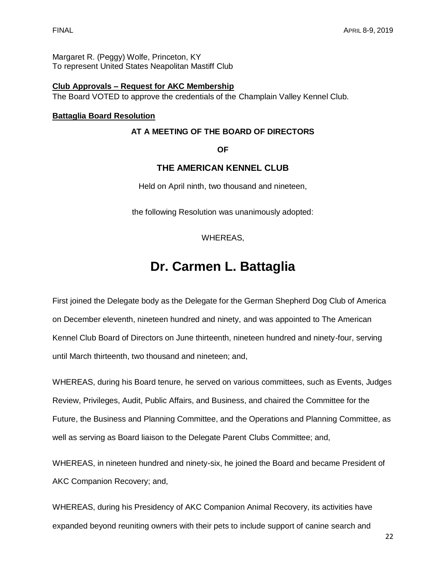Margaret R. (Peggy) Wolfe, Princeton, KY To represent United States Neapolitan Mastiff Club

# **Club Approvals – Request for AKC Membership**

The Board VOTED to approve the credentials of the Champlain Valley Kennel Club.

#### **Battaglia Board Resolution**

#### **AT A MEETING OF THE BOARD OF DIRECTORS**

**OF** 

# **THE AMERICAN KENNEL CLUB**

Held on April ninth, two thousand and nineteen,

the following Resolution was unanimously adopted:

WHEREAS,

# **Dr. Carmen L. Battaglia**

First joined the Delegate body as the Delegate for the German Shepherd Dog Club of America on December eleventh, nineteen hundred and ninety, and was appointed to The American Kennel Club Board of Directors on June thirteenth, nineteen hundred and ninety-four, serving until March thirteenth, two thousand and nineteen; and,

WHEREAS, during his Board tenure, he served on various committees, such as Events, Judges Review, Privileges, Audit, Public Affairs, and Business, and chaired the Committee for the Future, the Business and Planning Committee, and the Operations and Planning Committee, as well as serving as Board liaison to the Delegate Parent Clubs Committee; and,

WHEREAS, in nineteen hundred and ninety-six, he joined the Board and became President of AKC Companion Recovery; and,

WHEREAS, during his Presidency of AKC Companion Animal Recovery, its activities have expanded beyond reuniting owners with their pets to include support of canine search and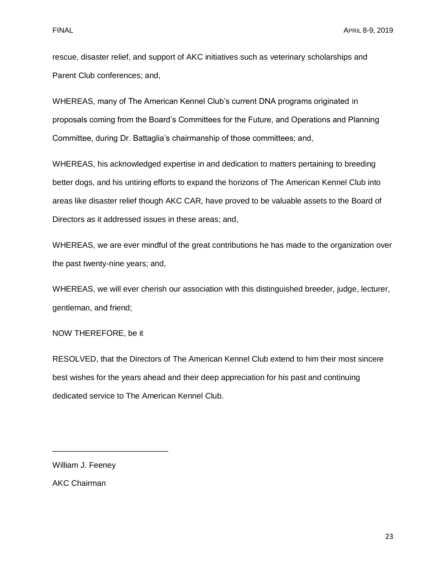rescue, disaster relief, and support of AKC initiatives such as veterinary scholarships and Parent Club conferences; and,

WHEREAS, many of The American Kennel Club's current DNA programs originated in proposals coming from the Board's Committees for the Future, and Operations and Planning Committee, during Dr. Battaglia's chairmanship of those committees; and,

WHEREAS, his acknowledged expertise in and dedication to matters pertaining to breeding better dogs, and his untiring efforts to expand the horizons of The American Kennel Club into areas like disaster relief though AKC CAR, have proved to be valuable assets to the Board of Directors as it addressed issues in these areas; and,

WHEREAS, we are ever mindful of the great contributions he has made to the organization over the past twenty-nine years; and,

WHEREAS, we will ever cherish our association with this distinguished breeder, judge, lecturer, gentleman, and friend;

NOW THEREFORE, be it

RESOLVED, that the Directors of The American Kennel Club extend to him their most sincere best wishes for the years ahead and their deep appreciation for his past and continuing dedicated service to The American Kennel Club.

William J. Feeney AKC Chairman

\_\_\_\_\_\_\_\_\_\_\_\_\_\_\_\_\_\_\_\_\_\_\_\_\_\_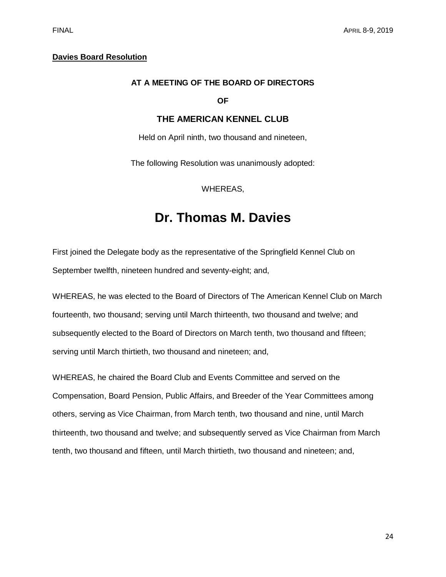#### **Davies Board Resolution**

#### **AT A MEETING OF THE BOARD OF DIRECTORS**

#### **OF**

#### **THE AMERICAN KENNEL CLUB**

Held on April ninth, two thousand and nineteen,

The following Resolution was unanimously adopted:

WHEREAS,

# **Dr. Thomas M. Davies**

First joined the Delegate body as the representative of the Springfield Kennel Club on September twelfth, nineteen hundred and seventy-eight; and,

WHEREAS, he was elected to the Board of Directors of The American Kennel Club on March fourteenth, two thousand; serving until March thirteenth, two thousand and twelve; and subsequently elected to the Board of Directors on March tenth, two thousand and fifteen; serving until March thirtieth, two thousand and nineteen; and,

WHEREAS, he chaired the Board Club and Events Committee and served on the Compensation, Board Pension, Public Affairs, and Breeder of the Year Committees among others, serving as Vice Chairman, from March tenth, two thousand and nine, until March thirteenth, two thousand and twelve; and subsequently served as Vice Chairman from March tenth, two thousand and fifteen, until March thirtieth, two thousand and nineteen; and,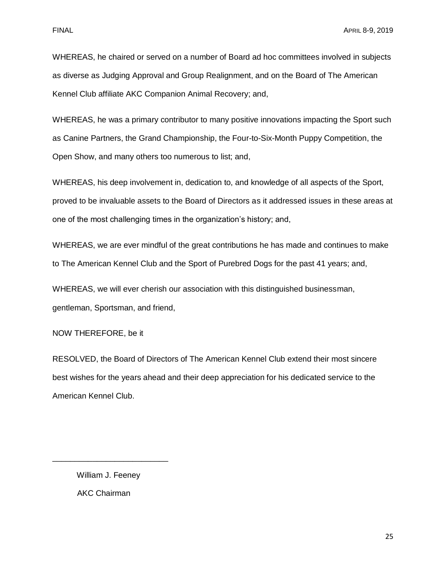WHEREAS, he chaired or served on a number of Board ad hoc committees involved in subjects as diverse as Judging Approval and Group Realignment, and on the Board of The American Kennel Club affiliate AKC Companion Animal Recovery; and,

WHEREAS, he was a primary contributor to many positive innovations impacting the Sport such as Canine Partners, the Grand Championship, the Four-to-Six-Month Puppy Competition, the Open Show, and many others too numerous to list; and,

WHEREAS, his deep involvement in, dedication to, and knowledge of all aspects of the Sport, proved to be invaluable assets to the Board of Directors as it addressed issues in these areas at one of the most challenging times in the organization's history; and,

WHEREAS, we are ever mindful of the great contributions he has made and continues to make to The American Kennel Club and the Sport of Purebred Dogs for the past 41 years; and,

WHEREAS, we will ever cherish our association with this distinguished businessman, gentleman, Sportsman, and friend,

NOW THEREFORE, be it

RESOLVED, the Board of Directors of The American Kennel Club extend their most sincere best wishes for the years ahead and their deep appreciation for his dedicated service to the American Kennel Club.

 William J. Feeney AKC Chairman

\_\_\_\_\_\_\_\_\_\_\_\_\_\_\_\_\_\_\_\_\_\_\_\_\_\_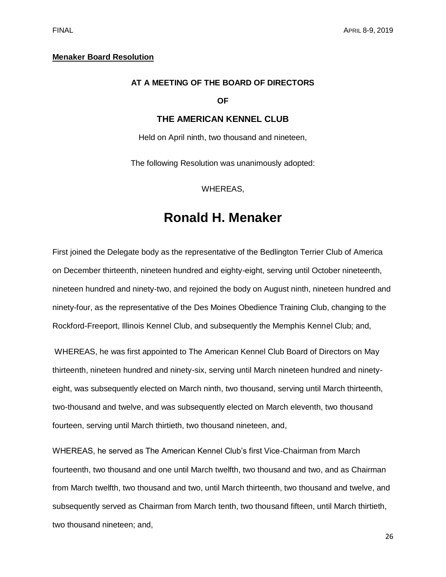#### **Menaker Board Resolution**

#### **AT A MEETING OF THE BOARD OF DIRECTORS**

#### **OF**

#### **THE AMERICAN KENNEL CLUB**

Held on April ninth, two thousand and nineteen,

The following Resolution was unanimously adopted:

WHEREAS,

# **Ronald H. Menaker**

First joined the Delegate body as the representative of the Bedlington Terrier Club of America on December thirteenth, nineteen hundred and eighty-eight, serving until October nineteenth, nineteen hundred and ninety-two, and rejoined the body on August ninth, nineteen hundred and ninety-four, as the representative of the Des Moines Obedience Training Club, changing to the Rockford-Freeport, Illinois Kennel Club, and subsequently the Memphis Kennel Club; and,

WHEREAS, he was first appointed to The American Kennel Club Board of Directors on May thirteenth, nineteen hundred and ninety-six, serving until March nineteen hundred and ninetyeight, was subsequently elected on March ninth, two thousand, serving until March thirteenth, two-thousand and twelve, and was subsequently elected on March eleventh, two thousand fourteen, serving until March thirtieth, two thousand nineteen, and,

WHEREAS, he served as The American Kennel Club's first Vice-Chairman from March fourteenth, two thousand and one until March twelfth, two thousand and two, and as Chairman from March twelfth, two thousand and two, until March thirteenth, two thousand and twelve, and subsequently served as Chairman from March tenth, two thousand fifteen, until March thirtieth, two thousand nineteen; and,

26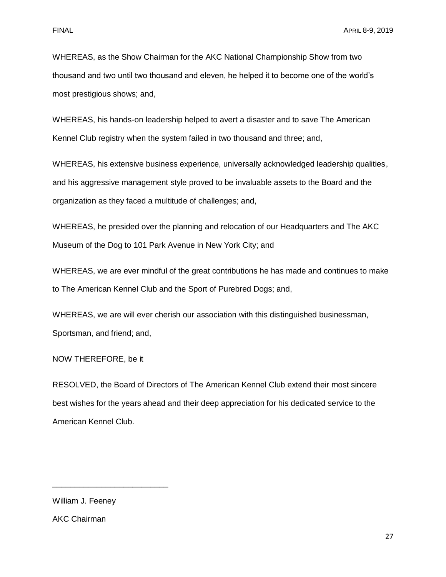WHEREAS, as the Show Chairman for the AKC National Championship Show from two thousand and two until two thousand and eleven, he helped it to become one of the world's most prestigious shows; and,

WHEREAS, his hands-on leadership helped to avert a disaster and to save The American Kennel Club registry when the system failed in two thousand and three; and,

WHEREAS, his extensive business experience, universally acknowledged leadership qualities, and his aggressive management style proved to be invaluable assets to the Board and the organization as they faced a multitude of challenges; and,

WHEREAS, he presided over the planning and relocation of our Headquarters and The AKC Museum of the Dog to 101 Park Avenue in New York City; and

WHEREAS, we are ever mindful of the great contributions he has made and continues to make to The American Kennel Club and the Sport of Purebred Dogs; and,

WHEREAS, we are will ever cherish our association with this distinguished businessman, Sportsman, and friend; and,

NOW THEREFORE, be it

RESOLVED, the Board of Directors of The American Kennel Club extend their most sincere best wishes for the years ahead and their deep appreciation for his dedicated service to the American Kennel Club.

William J. Feeney

\_\_\_\_\_\_\_\_\_\_\_\_\_\_\_\_\_\_\_\_\_\_\_\_\_\_

AKC Chairman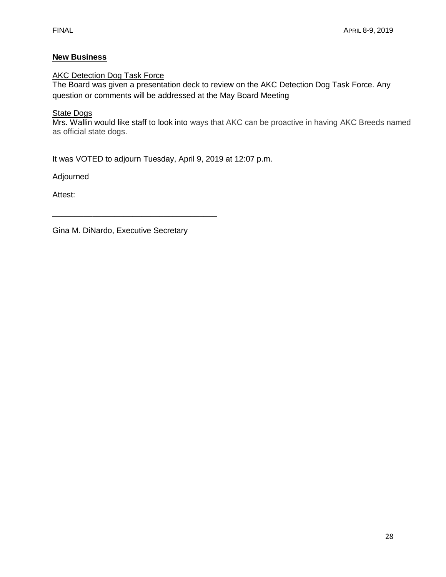# **New Business**

### **AKC Detection Dog Task Force**

The Board was given a presentation deck to review on the AKC Detection Dog Task Force. Any question or comments will be addressed at the May Board Meeting

#### **State Dogs**

Mrs. Wallin would like staff to look into ways that AKC can be proactive in having AKC Breeds named as official state dogs.

It was VOTED to adjourn Tuesday, April 9, 2019 at 12:07 p.m.

Adjourned

Attest:

Gina M. DiNardo, Executive Secretary

\_\_\_\_\_\_\_\_\_\_\_\_\_\_\_\_\_\_\_\_\_\_\_\_\_\_\_\_\_\_\_\_\_\_\_\_\_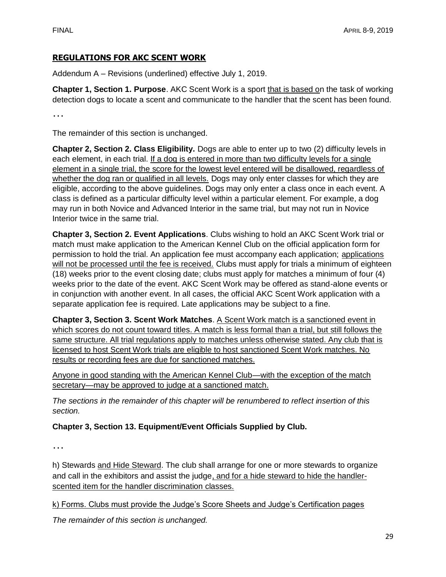# **REGULATIONS FOR AKC SCENT WORK**

Addendum A – Revisions (underlined) effective July 1, 2019.

**Chapter 1, Section 1. Purpose**. AKC Scent Work is a sport that is based on the task of working detection dogs to locate a scent and communicate to the handler that the scent has been found.

…

The remainder of this section is unchanged.

**Chapter 2, Section 2. Class Eligibility.** Dogs are able to enter up to two (2) difficulty levels in each element, in each trial. If a dog is entered in more than two difficulty levels for a single element in a single trial, the score for the lowest level entered will be disallowed, regardless of whether the dog ran or qualified in all levels. Dogs may only enter classes for which they are eligible, according to the above guidelines. Dogs may only enter a class once in each event. A class is defined as a particular difficulty level within a particular element. For example, a dog may run in both Novice and Advanced Interior in the same trial, but may not run in Novice Interior twice in the same trial.

**Chapter 3, Section 2. Event Applications**. Clubs wishing to hold an AKC Scent Work trial or match must make application to the American Kennel Club on the official application form for permission to hold the trial. An application fee must accompany each application; applications will not be processed until the fee is received. Clubs must apply for trials a minimum of eighteen (18) weeks prior to the event closing date; clubs must apply for matches a minimum of four (4) weeks prior to the date of the event. AKC Scent Work may be offered as stand-alone events or in conjunction with another event. In all cases, the official AKC Scent Work application with a separate application fee is required. Late applications may be subject to a fine.

**Chapter 3, Section 3. Scent Work Matches**. A Scent Work match is a sanctioned event in which scores do not count toward titles. A match is less formal than a trial, but still follows the same structure. All trial regulations apply to matches unless otherwise stated. Any club that is licensed to host Scent Work trials are eligible to host sanctioned Scent Work matches. No results or recording fees are due for sanctioned matches.

Anyone in good standing with the American Kennel Club—with the exception of the match secretary—may be approved to judge at a sanctioned match.

*The sections in the remainder of this chapter will be renumbered to reflect insertion of this section.*

# **Chapter 3, Section 13. Equipment/Event Officials Supplied by Club.**

…

h) Stewards and Hide Steward. The club shall arrange for one or more stewards to organize and call in the exhibitors and assist the judge, and for a hide steward to hide the handlerscented item for the handler discrimination classes.

k) Forms. Clubs must provide the Judge's Score Sheets and Judge's Certification pages

*The remainder of this section is unchanged.*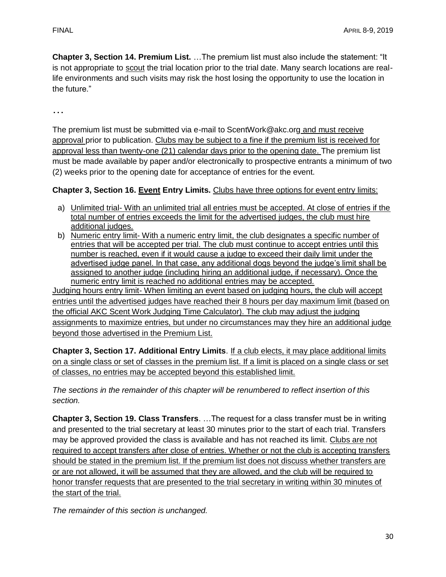**Chapter 3, Section 14. Premium List.** …The premium list must also include the statement: "It is not appropriate to scout the trial location prior to the trial date. Many search locations are reallife environments and such visits may risk the host losing the opportunity to use the location in the future."

…

The premium list must be submitted via e-mail to ScentWork@akc.org and must receive approval prior to publication. Clubs may be subject to a fine if the premium list is received for approval less than twenty-one (21) calendar days prior to the opening date. The premium list must be made available by paper and/or electronically to prospective entrants a minimum of two (2) weeks prior to the opening date for acceptance of entries for the event.

**Chapter 3, Section 16. Event Entry Limits.** Clubs have three options for event entry limits:

- a) Unlimited trial- With an unlimited trial all entries must be accepted. At close of entries if the total number of entries exceeds the limit for the advertised judges, the club must hire additional judges.
- b) Numeric entry limit- With a numeric entry limit, the club designates a specific number of entries that will be accepted per trial. The club must continue to accept entries until this number is reached, even if it would cause a judge to exceed their daily limit under the advertised judge panel. In that case, any additional dogs beyond the judge's limit shall be assigned to another judge (including hiring an additional judge, if necessary). Once the numeric entry limit is reached no additional entries may be accepted.

Judging hours entry limit- When limiting an event based on judging hours, the club will accept entries until the advertised judges have reached their 8 hours per day maximum limit (based on the official AKC Scent Work Judging Time Calculator). The club may adjust the judging assignments to maximize entries, but under no circumstances may they hire an additional judge beyond those advertised in the Premium List.

**Chapter 3, Section 17. Additional Entry Limits**. If a club elects, it may place additional limits on a single class or set of classes in the premium list. If a limit is placed on a single class or set of classes, no entries may be accepted beyond this established limit.

*The sections in the remainder of this chapter will be renumbered to reflect insertion of this section.*

**Chapter 3, Section 19. Class Transfers**. …The request for a class transfer must be in writing and presented to the trial secretary at least 30 minutes prior to the start of each trial. Transfers may be approved provided the class is available and has not reached its limit. Clubs are not required to accept transfers after close of entries. Whether or not the club is accepting transfers should be stated in the premium list. If the premium list does not discuss whether transfers are or are not allowed, it will be assumed that they are allowed, and the club will be required to honor transfer requests that are presented to the trial secretary in writing within 30 minutes of the start of the trial.

*The remainder of this section is unchanged.*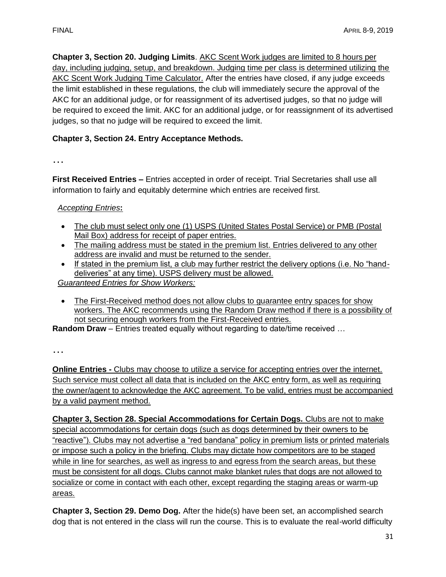**Chapter 3, Section 20. Judging Limits**. AKC Scent Work judges are limited to 8 hours per day, including judging, setup, and breakdown. Judging time per class is determined utilizing the AKC Scent Work Judging Time Calculator. After the entries have closed, if any judge exceeds the limit established in these regulations, the club will immediately secure the approval of the AKC for an additional judge, or for reassignment of its advertised judges, so that no judge will be required to exceed the limit. AKC for an additional judge, or for reassignment of its advertised judges, so that no judge will be required to exceed the limit.

# **Chapter 3, Section 24. Entry Acceptance Methods.**

…

**First Received Entries –** Entries accepted in order of receipt. Trial Secretaries shall use all information to fairly and equitably determine which entries are received first.

# *Accepting Entries***:**

- The club must select only one (1) USPS (United States Postal Service) or PMB (Postal Mail Box) address for receipt of paper entries.
- The mailing address must be stated in the premium list. Entries delivered to any other address are invalid and must be returned to the sender.
- If stated in the premium list, a club may further restrict the delivery options (i.e. No "handdeliveries" at any time). USPS delivery must be allowed.

*Guaranteed Entries for Show Workers:*

• The First-Received method does not allow clubs to guarantee entry spaces for show workers. The AKC recommends using the Random Draw method if there is a possibility of not securing enough workers from the First-Received entries.

**Random Draw** – Entries treated equally without regarding to date/time received …

…

**Online Entries -** Clubs may choose to utilize a service for accepting entries over the internet. Such service must collect all data that is included on the AKC entry form, as well as requiring the owner/agent to acknowledge the AKC agreement. To be valid, entries must be accompanied by a valid payment method.

**Chapter 3, Section 28. Special Accommodations for Certain Dogs.** Clubs are not to make special accommodations for certain dogs (such as dogs determined by their owners to be "reactive"). Clubs may not advertise a "red bandana" policy in premium lists or printed materials or impose such a policy in the briefing. Clubs may dictate how competitors are to be staged while in line for searches, as well as ingress to and egress from the search areas, but these must be consistent for all dogs. Clubs cannot make blanket rules that dogs are not allowed to socialize or come in contact with each other, except regarding the staging areas or warm-up areas.

**Chapter 3, Section 29. Demo Dog.** After the hide(s) have been set, an accomplished search dog that is not entered in the class will run the course. This is to evaluate the real-world difficulty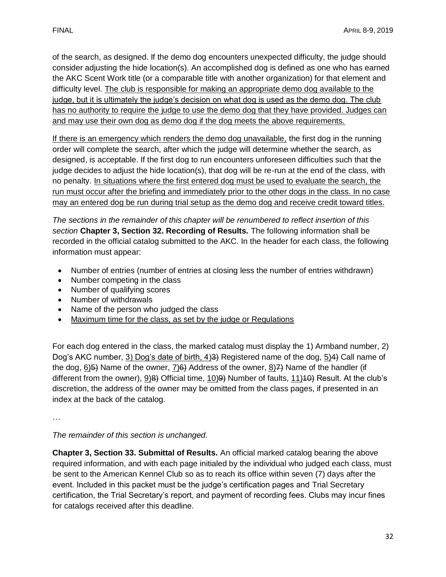of the search, as designed. If the demo dog encounters unexpected difficulty, the judge should consider adjusting the hide location(s). An accomplished dog is defined as one who has earned the AKC Scent Work title (or a comparable title with another organization) for that element and difficulty level. The club is responsible for making an appropriate demo dog available to the judge, but it is ultimately the judge's decision on what dog is used as the demo dog. The club has no authority to require the judge to use the demo dog that they have provided. Judges can and may use their own dog as demo dog if the dog meets the above requirements.

If there is an emergency which renders the demo dog unavailable, the first dog in the running order will complete the search, after which the judge will determine whether the search, as designed, is acceptable. If the first dog to run encounters unforeseen difficulties such that the judge decides to adjust the hide location(s), that dog will be re-run at the end of the class, with no penalty. In situations where the first entered dog must be used to evaluate the search, the run must occur after the briefing and immediately prior to the other dogs in the class. In no case may an entered dog be run during trial setup as the demo dog and receive credit toward titles.

*The sections in the remainder of this chapter will be renumbered to reflect insertion of this section* **Chapter 3, Section 32. Recording of Results.** The following information shall be recorded in the official catalog submitted to the AKC. In the header for each class, the following information must appear:

- Number of entries (number of entries at closing less the number of entries withdrawn)
- Number competing in the class
- Number of qualifying scores
- Number of withdrawals
- Name of the person who judged the class
- Maximum time for the class, as set by the judge or Regulations

For each dog entered in the class, the marked catalog must display the 1) Armband number, 2) Dog's AKC number, 3) Dog's date of birth, 4)3) Registered name of the dog, 5)4) Call name of the dog,  $6$ ) $\leftrightarrow$  Name of the owner,  $7$ ) $\leftrightarrow$  Address of the owner,  $8$ ) $\leftrightarrow$  Name of the handler (if different from the owner), 9)<del>8)</del> Official time, 10)<del>9)</del> Number of faults, 11)40) Result. At the club's discretion, the address of the owner may be omitted from the class pages, if presented in an index at the back of the catalog.

…

*The remainder of this section is unchanged.*

**Chapter 3, Section 33. Submittal of Results.** An official marked catalog bearing the above required information, and with each page initialed by the individual who judged each class, must be sent to the American Kennel Club so as to reach its office within seven (7) days after the event. Included in this packet must be the judge's certification pages and Trial Secretary certification, the Trial Secretary's report, and payment of recording fees. Clubs may incur fines for catalogs received after this deadline.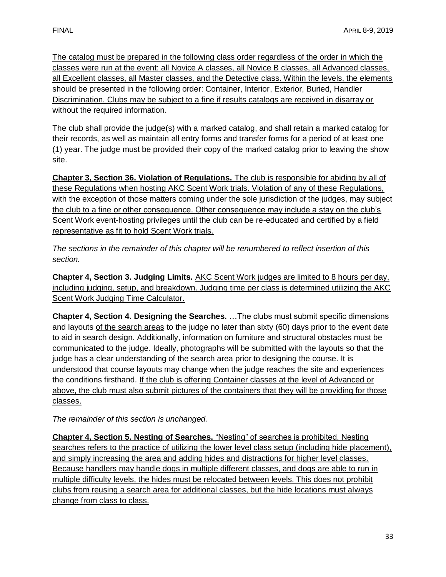The catalog must be prepared in the following class order regardless of the order in which the classes were run at the event: all Novice A classes, all Novice B classes, all Advanced classes, all Excellent classes, all Master classes, and the Detective class. Within the levels, the elements should be presented in the following order: Container, Interior, Exterior, Buried, Handler Discrimination. Clubs may be subject to a fine if results catalogs are received in disarray or without the required information.

The club shall provide the judge(s) with a marked catalog, and shall retain a marked catalog for their records, as well as maintain all entry forms and transfer forms for a period of at least one (1) year. The judge must be provided their copy of the marked catalog prior to leaving the show site.

**Chapter 3, Section 36. Violation of Regulations.** The club is responsible for abiding by all of these Regulations when hosting AKC Scent Work trials. Violation of any of these Regulations, with the exception of those matters coming under the sole jurisdiction of the judges, may subject the club to a fine or other consequence. Other consequence may include a stay on the club's Scent Work event-hosting privileges until the club can be re-educated and certified by a field representative as fit to hold Scent Work trials.

*The sections in the remainder of this chapter will be renumbered to reflect insertion of this section.* 

**Chapter 4, Section 3. Judging Limits.** AKC Scent Work judges are limited to 8 hours per day, including judging, setup, and breakdown. Judging time per class is determined utilizing the AKC Scent Work Judging Time Calculator.

**Chapter 4, Section 4. Designing the Searches.** …The clubs must submit specific dimensions and layouts of the search areas to the judge no later than sixty (60) days prior to the event date to aid in search design. Additionally, information on furniture and structural obstacles must be communicated to the judge. Ideally, photographs will be submitted with the layouts so that the judge has a clear understanding of the search area prior to designing the course. It is understood that course layouts may change when the judge reaches the site and experiences the conditions firsthand. If the club is offering Container classes at the level of Advanced or above, the club must also submit pictures of the containers that they will be providing for those classes.

*The remainder of this section is unchanged.* 

**Chapter 4, Section 5. Nesting of Searches.** "Nesting" of searches is prohibited. Nesting searches refers to the practice of utilizing the lower level class setup (including hide placement), and simply increasing the area and adding hides and distractions for higher level classes. Because handlers may handle dogs in multiple different classes, and dogs are able to run in multiple difficulty levels, the hides must be relocated between levels. This does not prohibit clubs from reusing a search area for additional classes, but the hide locations must always change from class to class.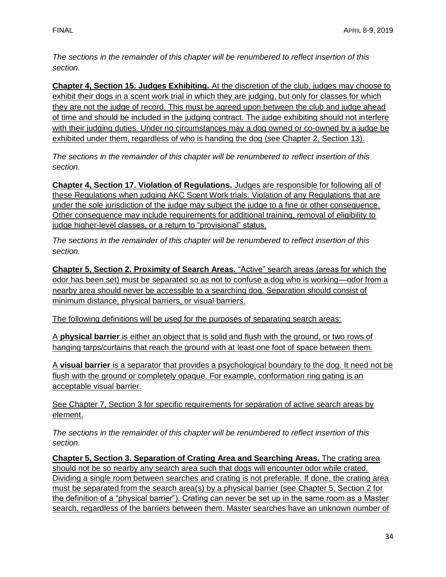*The sections in the remainder of this chapter will be renumbered to reflect insertion of this section.* 

**Chapter 4, Section 15. Judges Exhibiting.** At the discretion of the club, judges may choose to exhibit their dogs in a scent work trial in which they are judging, but only for classes for which they are not the judge of record. This must be agreed upon between the club and judge ahead of time and should be included in the judging contract. The judge exhibiting should not interfere with their judging duties. Under no circumstances may a dog owned or co-owned by a judge be exhibited under them, regardless of who is handing the dog (see Chapter 2, Section 13).

*The sections in the remainder of this chapter will be renumbered to reflect insertion of this section.* 

**Chapter 4, Section 17. Violation of Regulations.** Judges are responsible for following all of these Regulations when judging AKC Scent Work trials. Violation of any Regulations that are under the sole jurisdiction of the judge may subject the judge to a fine or other consequence. Other consequence may include requirements for additional training, removal of eligibility to judge higher-level classes, or a return to "provisional" status.

*The sections in the remainder of this chapter will be renumbered to reflect insertion of this section.* 

**Chapter 5, Section 2. Proximity of Search Areas.** "Active" search areas (areas for which the odor has been set) must be separated so as not to confuse a dog who is working—odor from a nearby area should never be accessible to a searching dog. Separation should consist of minimum distance, physical barriers, or visual barriers.

The following definitions will be used for the purposes of separating search areas:

A **physical barrier** is either an object that is solid and flush with the ground, or two rows of hanging tarps/curtains that reach the ground with at least one foot of space between them.

A **visual barrier** is a separator that provides a psychological boundary to the dog. It need not be flush with the ground or completely opaque. For example, conformation ring gating is an acceptable visual barrier.

See Chapter 7, Section 3 for specific requirements for separation of active search areas by element.

*The sections in the remainder of this chapter will be renumbered to reflect insertion of this section.*

**Chapter 5, Section 3. Separation of Crating Area and Searching Areas.** The crating area should not be so nearby any search area such that dogs will encounter odor while crated. Dividing a single room between searches and crating is not preferable. If done, the crating area must be separated from the search area(s) by a physical barrier (see Chapter 5, Section 2 for the definition of a "physical barrier"). Crating can never be set up in the same room as a Master search, regardless of the barriers between them. Master searches have an unknown number of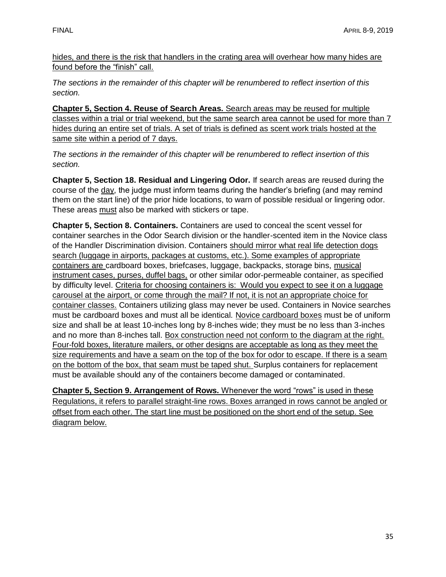hides, and there is the risk that handlers in the crating area will overhear how many hides are found before the "finish" call.

*The sections in the remainder of this chapter will be renumbered to reflect insertion of this section.*

**Chapter 5, Section 4. Reuse of Search Areas.** Search areas may be reused for multiple classes within a trial or trial weekend, but the same search area cannot be used for more than 7 hides during an entire set of trials. A set of trials is defined as scent work trials hosted at the same site within a period of 7 days.

*The sections in the remainder of this chapter will be renumbered to reflect insertion of this section.*

**Chapter 5, Section 18. Residual and Lingering Odor.** If search areas are reused during the course of the day, the judge must inform teams during the handler's briefing (and may remind them on the start line) of the prior hide locations, to warn of possible residual or lingering odor. These areas must also be marked with stickers or tape.

**Chapter 5, Section 8. Containers.** Containers are used to conceal the scent vessel for container searches in the Odor Search division or the handler-scented item in the Novice class of the Handler Discrimination division. Containers should mirror what real life detection dogs search (luggage in airports, packages at customs, etc.). Some examples of appropriate containers are cardboard boxes, briefcases, luggage, backpacks, storage bins, musical instrument cases, purses, duffel bags, or other similar odor-permeable container, as specified by difficulty level. Criteria for choosing containers is: Would you expect to see it on a luggage carousel at the airport, or come through the mail? If not, it is not an appropriate choice for container classes. Containers utilizing glass may never be used. Containers in Novice searches must be cardboard boxes and must all be identical. Novice cardboard boxes must be of uniform size and shall be at least 10-inches long by 8-inches wide; they must be no less than 3-inches and no more than 8-inches tall. Box construction need not conform to the diagram at the right. Four-fold boxes, literature mailers, or other designs are acceptable as long as they meet the size requirements and have a seam on the top of the box for odor to escape. If there is a seam on the bottom of the box, that seam must be taped shut. Surplus containers for replacement must be available should any of the containers become damaged or contaminated.

**Chapter 5, Section 9. Arrangement of Rows.** Whenever the word "rows" is used in these Regulations, it refers to parallel straight-line rows. Boxes arranged in rows cannot be angled or offset from each other. The start line must be positioned on the short end of the setup. See diagram below.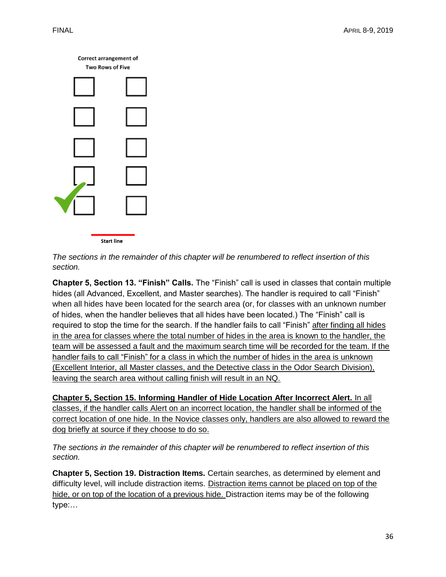

*The sections in the remainder of this chapter will be renumbered to reflect insertion of this section.* 

**Chapter 5, Section 13. "Finish" Calls.** The "Finish" call is used in classes that contain multiple hides (all Advanced, Excellent, and Master searches). The handler is required to call "Finish" when all hides have been located for the search area (or, for classes with an unknown number of hides, when the handler believes that all hides have been located.) The "Finish" call is required to stop the time for the search. If the handler fails to call "Finish" after finding all hides in the area for classes where the total number of hides in the area is known to the handler, the team will be assessed a fault and the maximum search time will be recorded for the team. If the handler fails to call "Finish" for a class in which the number of hides in the area is unknown (Excellent Interior, all Master classes, and the Detective class in the Odor Search Division), leaving the search area without calling finish will result in an NQ.

**Chapter 5, Section 15. Informing Handler of Hide Location After Incorrect Alert.** In all classes, if the handler calls Alert on an incorrect location, the handler shall be informed of the correct location of one hide. In the Novice classes only, handlers are also allowed to reward the dog briefly at source if they choose to do so.

*The sections in the remainder of this chapter will be renumbered to reflect insertion of this section.*

**Chapter 5, Section 19. Distraction Items.** Certain searches, as determined by element and difficulty level, will include distraction items. Distraction items cannot be placed on top of the hide, or on top of the location of a previous hide. Distraction items may be of the following type:…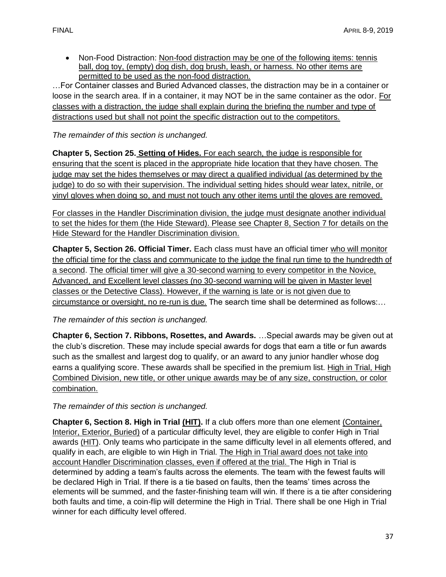• Non-Food Distraction: Non-food distraction may be one of the following items: tennis ball, dog toy, (empty) dog dish, dog brush, leash, or harness. No other items are permitted to be used as the non-food distraction.

…For Container classes and Buried Advanced classes, the distraction may be in a container or loose in the search area. If in a container, it may NOT be in the same container as the odor. For classes with a distraction, the judge shall explain during the briefing the number and type of distractions used but shall not point the specific distraction out to the competitors.

*The remainder of this section is unchanged.*

**Chapter 5, Section 25. Setting of Hides.** For each search, the judge is responsible for ensuring that the scent is placed in the appropriate hide location that they have chosen. The judge may set the hides themselves or may direct a qualified individual (as determined by the judge) to do so with their supervision. The individual setting hides should wear latex, nitrile, or vinyl gloves when doing so, and must not touch any other items until the gloves are removed.

For classes in the Handler Discrimination division, the judge must designate another individual to set the hides for them (the Hide Steward). Please see Chapter 8, Section 7 for details on the Hide Steward for the Handler Discrimination division.

**Chapter 5, Section 26. Official Timer.** Each class must have an official timer who will monitor the official time for the class and communicate to the judge the final run time to the hundredth of a second. The official timer will give a 30-second warning to every competitor in the Novice, Advanced, and Excellent level classes (no 30-second warning will be given in Master level classes or the Detective Class). However, if the warning is late or is not given due to circumstance or oversight, no re-run is due. The search time shall be determined as follows:…

# *The remainder of this section is unchanged.*

**Chapter 6, Section 7. Ribbons, Rosettes, and Awards.** …Special awards may be given out at the club's discretion. These may include special awards for dogs that earn a title or fun awards such as the smallest and largest dog to qualify, or an award to any junior handler whose dog earns a qualifying score. These awards shall be specified in the premium list. High in Trial, High Combined Division, new title, or other unique awards may be of any size, construction, or color combination.

*The remainder of this section is unchanged.*

**Chapter 6, Section 8. High in Trial (HIT).** If a club offers more than one element (Container, Interior, Exterior, Buried) of a particular difficulty level, they are eligible to confer High in Trial awards (HIT). Only teams who participate in the same difficulty level in all elements offered, and qualify in each, are eligible to win High in Trial. The High in Trial award does not take into account Handler Discrimination classes, even if offered at the trial. The High in Trial is determined by adding a team's faults across the elements. The team with the fewest faults will be declared High in Trial. If there is a tie based on faults, then the teams' times across the elements will be summed, and the faster-finishing team will win. If there is a tie after considering both faults and time, a coin-flip will determine the High in Trial. There shall be one High in Trial winner for each difficulty level offered.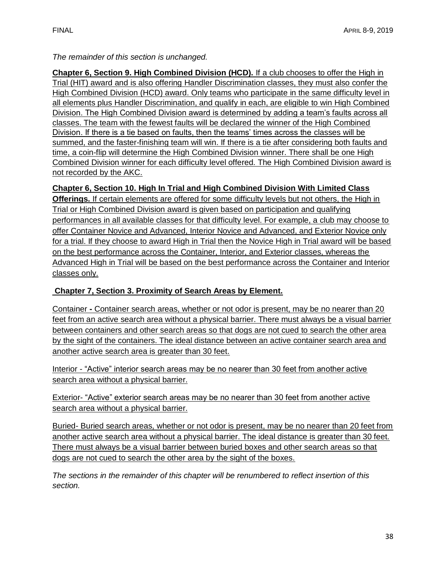# *The remainder of this section is unchanged.*

**Chapter 6, Section 9. High Combined Division (HCD).** If a club chooses to offer the High in Trial (HIT) award and is also offering Handler Discrimination classes, they must also confer the High Combined Division (HCD) award. Only teams who participate in the same difficulty level in all elements plus Handler Discrimination, and qualify in each, are eligible to win High Combined Division. The High Combined Division award is determined by adding a team's faults across all classes. The team with the fewest faults will be declared the winner of the High Combined Division. If there is a tie based on faults, then the teams' times across the classes will be summed, and the faster-finishing team will win. If there is a tie after considering both faults and time, a coin-flip will determine the High Combined Division winner. There shall be one High Combined Division winner for each difficulty level offered. The High Combined Division award is not recorded by the AKC.

# **Chapter 6, Section 10. High In Trial and High Combined Division With Limited Class**

**Offerings.** If certain elements are offered for some difficulty levels but not others, the High in Trial or High Combined Division award is given based on participation and qualifying performances in all available classes for that difficulty level. For example, a club may choose to offer Container Novice and Advanced, Interior Novice and Advanced, and Exterior Novice only for a trial. If they choose to award High in Trial then the Novice High in Trial award will be based on the best performance across the Container, Interior, and Exterior classes, whereas the Advanced High in Trial will be based on the best performance across the Container and Interior classes only.

# **Chapter 7, Section 3. Proximity of Search Areas by Element.**

Container **-** Container search areas, whether or not odor is present, may be no nearer than 20 feet from an active search area without a physical barrier. There must always be a visual barrier between containers and other search areas so that dogs are not cued to search the other area by the sight of the containers. The ideal distance between an active container search area and another active search area is greater than 30 feet.

Interior - "Active" interior search areas may be no nearer than 30 feet from another active search area without a physical barrier.

Exterior- "Active" exterior search areas may be no nearer than 30 feet from another active search area without a physical barrier.

Buried- Buried search areas, whether or not odor is present, may be no nearer than 20 feet from another active search area without a physical barrier. The ideal distance is greater than 30 feet. There must always be a visual barrier between buried boxes and other search areas so that dogs are not cued to search the other area by the sight of the boxes.

*The sections in the remainder of this chapter will be renumbered to reflect insertion of this section.*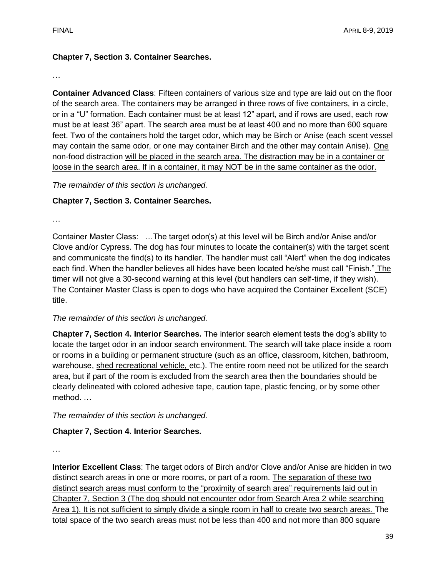# **Chapter 7, Section 3. Container Searches.**

…

**Container Advanced Class**: Fifteen containers of various size and type are laid out on the floor of the search area. The containers may be arranged in three rows of five containers, in a circle, or in a "U" formation. Each container must be at least 12" apart, and if rows are used, each row must be at least 36" apart. The search area must be at least 400 and no more than 600 square feet. Two of the containers hold the target odor, which may be Birch or Anise (each scent vessel may contain the same odor, or one may container Birch and the other may contain Anise). One non-food distraction will be placed in the search area. The distraction may be in a container or loose in the search area. If in a container, it may NOT be in the same container as the odor.

*The remainder of this section is unchanged.*

# **Chapter 7, Section 3. Container Searches.**

…

Container Master Class: …The target odor(s) at this level will be Birch and/or Anise and/or Clove and/or Cypress. The dog has four minutes to locate the container(s) with the target scent and communicate the find(s) to its handler. The handler must call "Alert" when the dog indicates each find. When the handler believes all hides have been located he/she must call "Finish." The timer will not give a 30-second warning at this level (but handlers can self-time, if they wish). The Container Master Class is open to dogs who have acquired the Container Excellent (SCE) title.

# *The remainder of this section is unchanged.*

**Chapter 7, Section 4. Interior Searches.** The interior search element tests the dog's ability to locate the target odor in an indoor search environment. The search will take place inside a room or rooms in a building or permanent structure (such as an office, classroom, kitchen, bathroom, warehouse, shed recreational vehicle, etc.). The entire room need not be utilized for the search area, but if part of the room is excluded from the search area then the boundaries should be clearly delineated with colored adhesive tape, caution tape, plastic fencing, or by some other method. …

*The remainder of this section is unchanged.*

# **Chapter 7, Section 4. Interior Searches.**

…

**Interior Excellent Class**: The target odors of Birch and/or Clove and/or Anise are hidden in two distinct search areas in one or more rooms, or part of a room. The separation of these two distinct search areas must conform to the "proximity of search area" requirements laid out in Chapter 7, Section 3 (The dog should not encounter odor from Search Area 2 while searching Area 1). It is not sufficient to simply divide a single room in half to create two search areas. The total space of the two search areas must not be less than 400 and not more than 800 square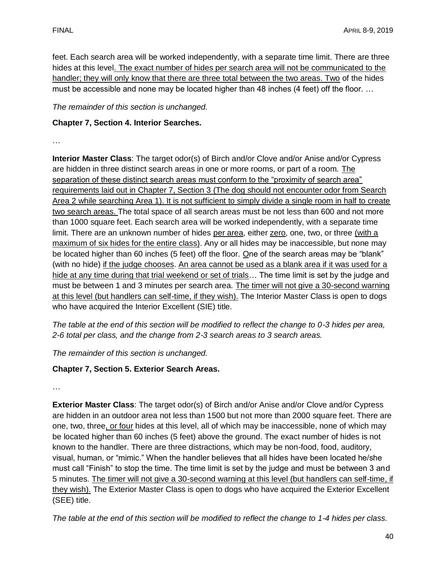feet. Each search area will be worked independently, with a separate time limit. There are three hides at this level. The exact number of hides per search area will not be communicated to the handler; they will only know that there are three total between the two areas. Two of the hides must be accessible and none may be located higher than 48 inches (4 feet) off the floor. …

*The remainder of this section is unchanged.* 

# **Chapter 7, Section 4. Interior Searches.**

…

**Interior Master Class**: The target odor(s) of Birch and/or Clove and/or Anise and/or Cypress are hidden in three distinct search areas in one or more rooms, or part of a room. The separation of these distinct search areas must conform to the "proximity of search area" requirements laid out in Chapter 7, Section 3 (The dog should not encounter odor from Search Area 2 while searching Area 1). It is not sufficient to simply divide a single room in half to create two search areas. The total space of all search areas must be not less than 600 and not more than 1000 square feet. Each search area will be worked independently, with a separate time limit. There are an unknown number of hides per area, either zero, one, two, or three (with a maximum of six hides for the entire class). Any or all hides may be inaccessible, but none may be located higher than 60 inches (5 feet) off the floor. One of the search areas may be "blank" (with no hide) if the judge chooses. An area cannot be used as a blank area if it was used for a hide at any time during that trial weekend or set of trials... The time limit is set by the judge and must be between 1 and 3 minutes per search area. The timer will not give a 30-second warning at this level (but handlers can self-time, if they wish). The Interior Master Class is open to dogs who have acquired the Interior Excellent (SIE) title.

*The table at the end of this section will be modified to reflect the change to 0-3 hides per area, 2-6 total per class, and the change from 2-3 search areas to 3 search areas.*

*The remainder of this section is unchanged.*

# **Chapter 7, Section 5. Exterior Search Areas.**

…

**Exterior Master Class**: The target odor(s) of Birch and/or Anise and/or Clove and/or Cypress are hidden in an outdoor area not less than 1500 but not more than 2000 square feet. There are one, two, three, or four hides at this level, all of which may be inaccessible, none of which may be located higher than 60 inches (5 feet) above the ground. The exact number of hides is not known to the handler. There are three distractions, which may be non-food, food, auditory, visual, human, or "mimic." When the handler believes that all hides have been located he/she must call "Finish" to stop the time. The time limit is set by the judge and must be between 3 and 5 minutes. The timer will not give a 30-second warning at this level (but handlers can self-time, if they wish). The Exterior Master Class is open to dogs who have acquired the Exterior Excellent (SEE) title.

*The table at the end of this section will be modified to reflect the change to 1-4 hides per class.*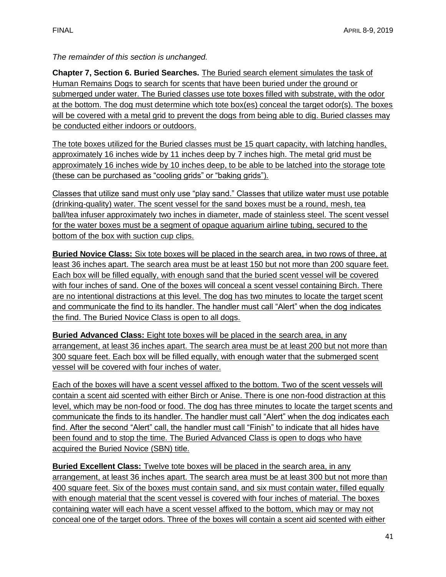*The remainder of this section is unchanged.* 

**Chapter 7, Section 6. Buried Searches.** The Buried search element simulates the task of Human Remains Dogs to search for scents that have been buried under the ground or submerged under water. The Buried classes use tote boxes filled with substrate, with the odor at the bottom. The dog must determine which tote box(es) conceal the target odor(s). The boxes will be covered with a metal grid to prevent the dogs from being able to dig. Buried classes may be conducted either indoors or outdoors.

The tote boxes utilized for the Buried classes must be 15 quart capacity, with latching handles, approximately 16 inches wide by 11 inches deep by 7 inches high. The metal grid must be approximately 16 inches wide by 10 inches deep, to be able to be latched into the storage tote (these can be purchased as "cooling grids" or "baking grids").

Classes that utilize sand must only use "play sand." Classes that utilize water must use potable (drinking-quality) water. The scent vessel for the sand boxes must be a round, mesh, tea ball/tea infuser approximately two inches in diameter, made of stainless steel. The scent vessel for the water boxes must be a segment of opaque aquarium airline tubing, secured to the bottom of the box with suction cup clips.

**Buried Novice Class:** Six tote boxes will be placed in the search area, in two rows of three, at least 36 inches apart. The search area must be at least 150 but not more than 200 square feet. Each box will be filled equally, with enough sand that the buried scent vessel will be covered with four inches of sand. One of the boxes will conceal a scent vessel containing Birch. There are no intentional distractions at this level. The dog has two minutes to locate the target scent and communicate the find to its handler. The handler must call "Alert" when the dog indicates the find. The Buried Novice Class is open to all dogs.

**Buried Advanced Class:** Eight tote boxes will be placed in the search area, in any arrangement, at least 36 inches apart. The search area must be at least 200 but not more than 300 square feet. Each box will be filled equally, with enough water that the submerged scent vessel will be covered with four inches of water.

Each of the boxes will have a scent vessel affixed to the bottom. Two of the scent vessels will contain a scent aid scented with either Birch or Anise. There is one non-food distraction at this level, which may be non-food or food. The dog has three minutes to locate the target scents and communicate the finds to its handler. The handler must call "Alert" when the dog indicates each find. After the second "Alert" call, the handler must call "Finish" to indicate that all hides have been found and to stop the time. The Buried Advanced Class is open to dogs who have acquired the Buried Novice (SBN) title.

**Buried Excellent Class:** Twelve tote boxes will be placed in the search area, in any arrangement, at least 36 inches apart. The search area must be at least 300 but not more than 400 square feet. Six of the boxes must contain sand, and six must contain water, filled equally with enough material that the scent vessel is covered with four inches of material. The boxes containing water will each have a scent vessel affixed to the bottom, which may or may not conceal one of the target odors. Three of the boxes will contain a scent aid scented with either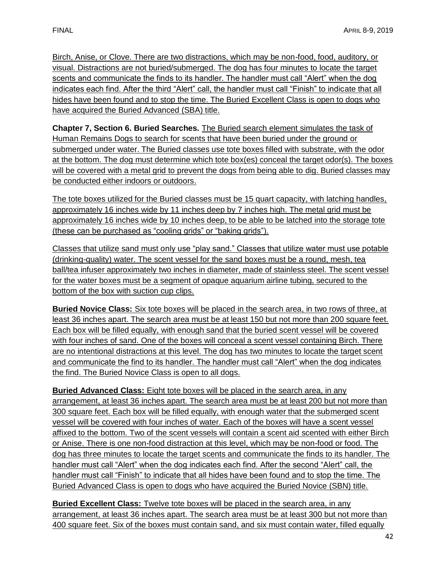Birch, Anise, or Clove. There are two distractions, which may be non-food, food, auditory, or visual. Distractions are not buried/submerged. The dog has four minutes to locate the target scents and communicate the finds to its handler. The handler must call "Alert" when the dog indicates each find. After the third "Alert" call, the handler must call "Finish" to indicate that all hides have been found and to stop the time. The Buried Excellent Class is open to dogs who have acquired the Buried Advanced (SBA) title.

**Chapter 7, Section 6. Buried Searches.** The Buried search element simulates the task of Human Remains Dogs to search for scents that have been buried under the ground or submerged under water. The Buried classes use tote boxes filled with substrate, with the odor at the bottom. The dog must determine which tote box(es) conceal the target odor(s). The boxes will be covered with a metal grid to prevent the dogs from being able to dig. Buried classes may be conducted either indoors or outdoors.

The tote boxes utilized for the Buried classes must be 15 quart capacity, with latching handles, approximately 16 inches wide by 11 inches deep by 7 inches high. The metal grid must be approximately 16 inches wide by 10 inches deep, to be able to be latched into the storage tote (these can be purchased as "cooling grids" or "baking grids").

Classes that utilize sand must only use "play sand." Classes that utilize water must use potable (drinking-quality) water. The scent vessel for the sand boxes must be a round, mesh, tea ball/tea infuser approximately two inches in diameter, made of stainless steel. The scent vessel for the water boxes must be a segment of opaque aquarium airline tubing, secured to the bottom of the box with suction cup clips.

**Buried Novice Class:** Six tote boxes will be placed in the search area, in two rows of three, at least 36 inches apart. The search area must be at least 150 but not more than 200 square feet. Each box will be filled equally, with enough sand that the buried scent vessel will be covered with four inches of sand. One of the boxes will conceal a scent vessel containing Birch. There are no intentional distractions at this level. The dog has two minutes to locate the target scent and communicate the find to its handler. The handler must call "Alert" when the dog indicates the find. The Buried Novice Class is open to all dogs.

**Buried Advanced Class:** Eight tote boxes will be placed in the search area, in any arrangement, at least 36 inches apart. The search area must be at least 200 but not more than 300 square feet. Each box will be filled equally, with enough water that the submerged scent vessel will be covered with four inches of water. Each of the boxes will have a scent vessel affixed to the bottom. Two of the scent vessels will contain a scent aid scented with either Birch or Anise. There is one non-food distraction at this level, which may be non-food or food. The dog has three minutes to locate the target scents and communicate the finds to its handler. The handler must call "Alert" when the dog indicates each find. After the second "Alert" call, the handler must call "Finish" to indicate that all hides have been found and to stop the time. The Buried Advanced Class is open to dogs who have acquired the Buried Novice (SBN) title.

**Buried Excellent Class:** Twelve tote boxes will be placed in the search area, in any arrangement, at least 36 inches apart. The search area must be at least 300 but not more than 400 square feet. Six of the boxes must contain sand, and six must contain water, filled equally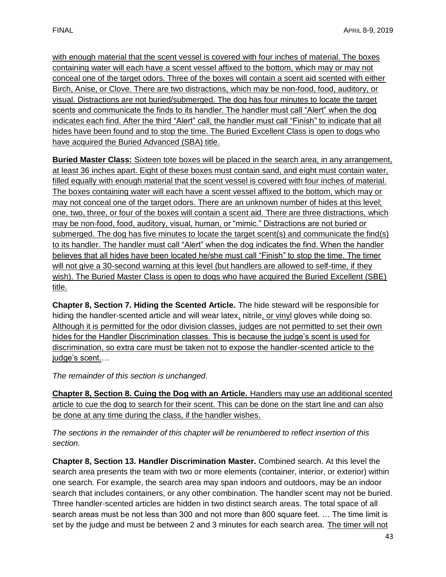with enough material that the scent vessel is covered with four inches of material. The boxes containing water will each have a scent vessel affixed to the bottom, which may or may not conceal one of the target odors. Three of the boxes will contain a scent aid scented with either Birch, Anise, or Clove. There are two distractions, which may be non-food, food, auditory, or visual. Distractions are not buried/submerged. The dog has four minutes to locate the target scents and communicate the finds to its handler. The handler must call "Alert" when the dog indicates each find. After the third "Alert" call, the handler must call "Finish" to indicate that all hides have been found and to stop the time. The Buried Excellent Class is open to dogs who have acquired the Buried Advanced (SBA) title.

**Buried Master Class:** Sixteen tote boxes will be placed in the search area, in any arrangement, at least 36 inches apart. Eight of these boxes must contain sand, and eight must contain water, filled equally with enough material that the scent vessel is covered with four inches of material. The boxes containing water will each have a scent vessel affixed to the bottom, which may or may not conceal one of the target odors. There are an unknown number of hides at this level; one, two, three, or four of the boxes will contain a scent aid. There are three distractions, which may be non-food, food, auditory, visual, human, or "mimic." Distractions are not buried or submerged. The dog has five minutes to locate the target scent(s) and communicate the find(s) to its handler. The handler must call "Alert" when the dog indicates the find. When the handler believes that all hides have been located he/she must call "Finish" to stop the time. The timer will not give a 30-second warning at this level (but handlers are allowed to self-time, if they wish). The Buried Master Class is open to dogs who have acquired the Buried Excellent (SBE) title.

**Chapter 8, Section 7. Hiding the Scented Article.** The hide steward will be responsible for hiding the handler-scented article and will wear latex, nitrile, or vinyl gloves while doing so. Although it is permitted for the odor division classes, judges are not permitted to set their own hides for the Handler Discrimination classes. This is because the judge's scent is used for discrimination, so extra care must be taken not to expose the handler-scented article to the judge's scent.…

*The remainder of this section is unchanged.* 

**Chapter 8, Section 8. Cuing the Dog with an Article.** Handlers may use an additional scented article to cue the dog to search for their scent. This can be done on the start line and can also be done at any time during the class, if the handler wishes.

*The sections in the remainder of this chapter will be renumbered to reflect insertion of this section.*

**Chapter 8, Section 13. Handler Discrimination Master.** Combined search. At this level the search area presents the team with two or more elements (container, interior, or exterior) within one search. For example, the search area may span indoors and outdoors, may be an indoor search that includes containers, or any other combination. The handler scent may not be buried. Three handler-scented articles are hidden in two distinct search areas. The total space of all search areas must be not less than 300 and not more than 800 square feet. … The time limit is set by the judge and must be between 2 and 3 minutes for each search area. The timer will not